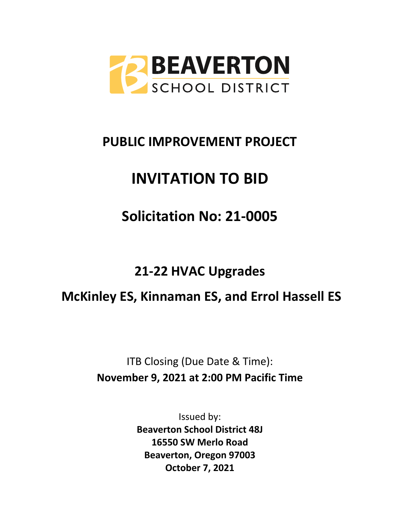

# **PUBLIC IMPROVEMENT PROJECT**

# **INVITATION TO BID**

# **Solicitation No: 21-0005**

# **21-22 HVAC Upgrades**

# **McKinley ES, Kinnaman ES, and Errol Hassell ES**

# ITB Closing (Due Date & Time): **November 9, 2021 at 2:00 PM Pacific Time**

Issued by: **Beaverton School District 48J 16550 SW Merlo Road Beaverton, Oregon 97003 October 7, 2021**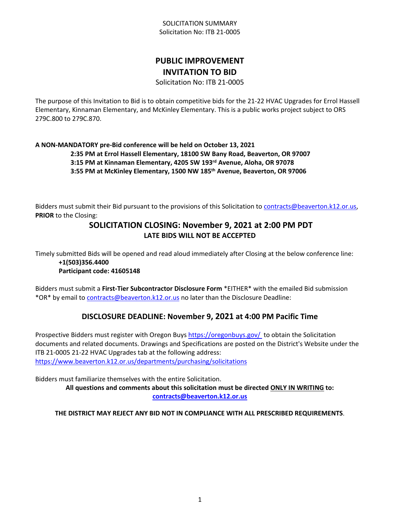# **PUBLIC IMPROVEMENT INVITATION TO BID**

Solicitation No: ITB 21-0005

The purpose of this Invitation to Bid is to obtain competitive bids for the 21-22 HVAC Upgrades for Errol Hassell Elementary, Kinnaman Elementary, and McKinley Elementary. This is a public works project subject to ORS 279C.800 to 279C.870.

**A NON-MANDATORY pre-Bid conference will be held on October 13, 2021 2:35 PM at Errol Hassell Elementary, 18100 SW Bany Road, Beaverton, OR 97007 3:15 PM at Kinnaman Elementary, 4205 SW 193rd Avenue, Aloha, OR 97078 3:55 PM at McKinley Elementary, 1500 NW 185th Avenue, Beaverton, OR 97006**

Bidders must submit their Bid pursuant to the provisions of this Solicitation to [contracts@beaverton.k12.or.us,](mailto:contracts@beaverton.k12.or.us) **PRIOR** to the Closing:

# **SOLICITATION CLOSING: November 9, 2021 at 2:00 PM PDT LATE BIDS WILL NOT BE ACCEPTED**

Timely submitted Bids will be opened and read aloud immediately after Closing at the below conference line: **+1(503)356.4400**

#### **Participant code: 41605148**

Bidders must submit a **First-Tier Subcontractor Disclosure Form** \*EITHER\* with the emailed Bid submission \*OR\* by email to [contracts@beaverton.k12.or.us](mailto:contracts@beaverton.k12.or.us) no later than the Disclosure Deadline:

# **DISCLOSURE DEADLINE: November 9, 2021 at 4:00 PM Pacific Time**

Prospective Bidders must register with Oregon Buys<https://oregonbuys.gov/>to obtain the Solicitation documents and related documents. Drawings and Specifications are posted on the District's Website under the ITB 21-0005 21-22 HVAC Upgrades tab at the following address: <https://www.beaverton.k12.or.us/departments/purchasing/solicitations>

Bidders must familiarize themselves with the entire Solicitation.

**All questions and comments about this solicitation must be directed ONLY IN WRITING to: [contracts@beaverton.k12.or.us](mailto:contracts@beaverton.k12.or.us)**

#### **THE DISTRICT MAY REJECT ANY BID NOT IN COMPLIANCE WITH ALL PRESCRIBED REQUIREMENTS**.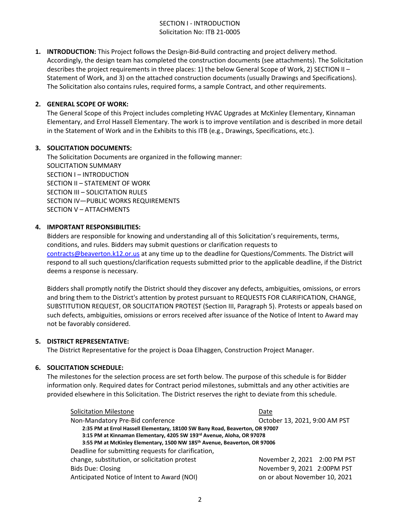#### SECTION I - INTRODUCTION Solicitation No: ITB 21-0005

**1. INTRODUCTION:** This Project follows the Design-Bid-Build contracting and project delivery method. Accordingly, the design team has completed the construction documents (see attachments). The Solicitation describes the project requirements in three places: 1) the below General Scope of Work, 2) SECTION II – Statement of Work, and 3) on the attached construction documents (usually Drawings and Specifications). The Solicitation also contains rules, required forms, a sample Contract, and other requirements.

#### **2. GENERAL SCOPE OF WORK:**

The General Scope of this Project includes completing HVAC Upgrades at McKinley Elementary, Kinnaman Elementary, and Errol Hassell Elementary. The work is to improve ventilation and is described in more detail in the Statement of Work and in the Exhibits to this ITB (e.g., Drawings, Specifications, etc.).

#### **3. SOLICITATION DOCUMENTS:**

The Solicitation Documents are organized in the following manner: SOLICITATION SUMMARY SECTION I – INTRODUCTION SECTION II – STATEMENT OF WORK SECTION III – SOLICITATION RULES SECTION IV—PUBLIC WORKS REQUIREMENTS SECTION V – ATTACHMENTS

#### **4. IMPORTANT RESPONSIBILITIES:**

Bidders are responsible for knowing and understanding all of this Solicitation's requirements, terms, conditions, and rules. Bidders may submit questions or clarification requests to [contracts@beaverton.k12.or.us](mailto:contracts@beaverton.k12.or.us) at any time up to the deadline for Questions/Comments. The District will respond to all such questions/clarification requests submitted prior to the applicable deadline, if the District deems a response is necessary.

Bidders shall promptly notify the District should they discover any defects, ambiguities, omissions, or errors and bring them to the District's attention by protest pursuant to REQUESTS FOR CLARIFICATION, CHANGE, SUBSTITUTION REQUEST, OR SOLICITATION PROTEST (Section III, Paragraph 5). Protests or appeals based on such defects, ambiguities, omissions or errors received after issuance of the Notice of Intent to Award may not be favorably considered.

#### **5. DISTRICT REPRESENTATIVE:**

The District Representative for the project is Doaa Elhaggen, Construction Project Manager.

#### **6. SOLICITATION SCHEDULE:**

The milestones for the selection process are set forth below. The purpose of this schedule is for Bidder information only. Required dates for Contract period milestones, submittals and any other activities are provided elsewhere in this Solicitation. The District reserves the right to deviate from this schedule.

| <b>Solicitation Milestone</b>                                                         | Date                          |
|---------------------------------------------------------------------------------------|-------------------------------|
| Non-Mandatory Pre-Bid conference                                                      | October 13, 2021, 9:00 AM PST |
| 2:35 PM at Errol Hassell Elementary, 18100 SW Bany Road, Beaverton, OR 97007          |                               |
| 3:15 PM at Kinnaman Elementary, 4205 SW 193rd Avenue, Aloha, OR 97078                 |                               |
| 3:55 PM at McKinley Elementary, 1500 NW 185 <sup>th</sup> Avenue, Beaverton, OR 97006 |                               |
| Deadline for submitting requests for clarification,                                   |                               |
| change, substitution, or solicitation protest                                         | November 2, 2021 2:00 PM PST  |
| <b>Bids Due: Closing</b>                                                              | November 9, 2021 2:00PM PST   |
| Anticipated Notice of Intent to Award (NOI)                                           | on or about November 10, 2021 |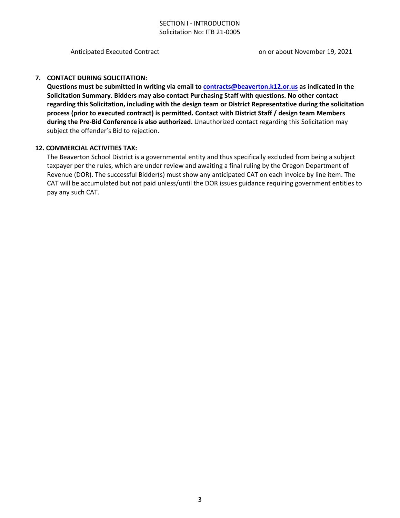#### SECTION I - INTRODUCTION Solicitation No: ITB 21-0005

Anticipated Executed Contract on or about November 19, 2021

#### **7. CONTACT DURING SOLICITATION:**

**Questions must be submitted in writing via email to [contracts@beaverton.k12.or.us](mailto:contracts@beaverton.k12.or.us) as indicated in the Solicitation Summary. Bidders may also contact Purchasing Staff with questions. No other contact regarding this Solicitation, including with the design team or District Representative during the solicitation process (prior to executed contract) is permitted. Contact with District Staff / design team Members during the Pre-Bid Conference is also authorized.** Unauthorized contact regarding this Solicitation may subject the offender's Bid to rejection.

#### **12. COMMERCIAL ACTIVITIES TAX:**

The Beaverton School District is a governmental entity and thus specifically excluded from being a subject taxpayer per the rules, which are under review and awaiting a final ruling by the Oregon Department of Revenue (DOR). The successful Bidder(s) must show any anticipated CAT on each invoice by line item. The CAT will be accumulated but not paid unless/until the DOR issues guidance requiring government entities to pay any such CAT.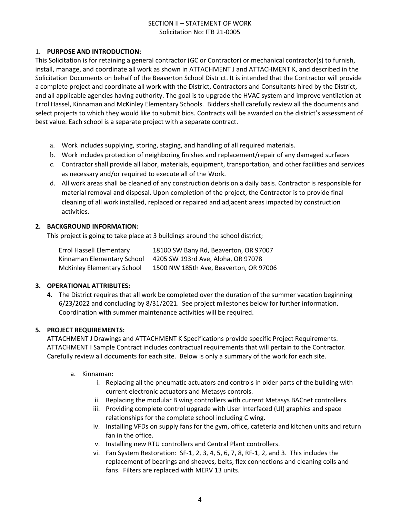#### SECTION II – STATEMENT OF WORK Solicitation No: ITB 21-0005

#### 1. **PURPOSE AND INTRODUCTION:**

This Solicitation is for retaining a general contractor (GC or Contractor) or mechanical contractor(s) to furnish, install, manage, and coordinate all work as shown in ATTACHMENT J and ATTACHMENT K, and described in the Solicitation Documents on behalf of the Beaverton School District. It is intended that the Contractor will provide a complete project and coordinate all work with the District, Contractors and Consultants hired by the District, and all applicable agencies having authority. The goal is to upgrade the HVAC system and improve ventilation at Errol Hassel, Kinnaman and McKinley Elementary Schools. Bidders shall carefully review all the documents and select projects to which they would like to submit bids. Contracts will be awarded on the district's assessment of best value. Each school is a separate project with a separate contract.

- a. Work includes supplying, storing, staging, and handling of all required materials.
- b. Work includes protection of neighboring finishes and replacement/repair of any damaged surfaces
- c. Contractor shall provide all labor, materials, equipment, transportation, and other facilities and services as necessary and/or required to execute all of the Work.
- d. All work areas shall be cleaned of any construction debris on a daily basis. Contractor is responsible for material removal and disposal. Upon completion of the project, the Contractor is to provide final cleaning of all work installed, replaced or repaired and adjacent areas impacted by construction activities.

#### **2. BACKGROUND INFORMATION:**

This project is going to take place at 3 buildings around the school district;

| <b>Errol Hassell Elementary</b>   | 18100 SW Bany Rd, Beaverton, OR 97007  |
|-----------------------------------|----------------------------------------|
| Kinnaman Elementary School        | 4205 SW 193rd Ave, Aloha, OR 97078     |
| <b>McKinley Elementary School</b> | 1500 NW 185th Ave, Beaverton, OR 97006 |

#### **3. OPERATIONAL ATTRIBUTES:**

**4.** The District requires that all work be completed over the duration of the summer vacation beginning 6/23/2022 and concluding by 8/31/2021. See project milestones below for further information. Coordination with summer maintenance activities will be required.

#### **5. PROJECT REQUIREMENTS:**

ATTACHMENT J Drawings and ATTACHMENT K Specifications provide specific Project Requirements. ATTACHMENT I Sample Contract includes contractual requirements that will pertain to the Contractor. Carefully review all documents for each site. Below is only a summary of the work for each site.

- a. Kinnaman:
	- i. Replacing all the pneumatic actuators and controls in older parts of the building with current electronic actuators and Metasys controls.
	- ii. Replacing the modular B wing controllers with current Metasys BACnet controllers.
	- iii. Providing complete control upgrade with User Interfaced (UI) graphics and space relationships for the complete school including C wing.
	- iv. Installing VFDs on supply fans for the gym, office, cafeteria and kitchen units and return fan in the office.
	- v. Installing new RTU controllers and Central Plant controllers.
	- vi. Fan System Restoration: SF-1, 2, 3, 4, 5, 6, 7, 8, RF-1, 2, and 3. This includes the replacement of bearings and sheaves, belts, flex connections and cleaning coils and fans. Filters are replaced with MERV 13 units.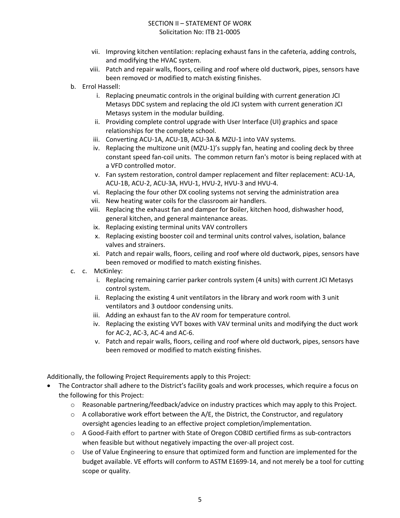#### SECTION II – STATEMENT OF WORK Solicitation No: ITB 21-0005

- vii. Improving kitchen ventilation: replacing exhaust fans in the cafeteria, adding controls, and modifying the HVAC system.
- viii. Patch and repair walls, floors, ceiling and roof where old ductwork, pipes, sensors have been removed or modified to match existing finishes.
- b. Errol Hassell:
	- i. Replacing pneumatic controls in the original building with current generation JCI Metasys DDC system and replacing the old JCI system with current generation JCI Metasys system in the modular building.
	- ii. Providing complete control upgrade with User Interface (UI) graphics and space relationships for the complete school.
	- iii. Converting ACU-1A, ACU-1B, ACU-3A & MZU-1 into VAV systems.
	- iv. Replacing the multizone unit (MZU-1)'s supply fan, heating and cooling deck by three constant speed fan-coil units. The common return fan's motor is being replaced with at a VFD controlled motor.
	- v. Fan system restoration, control damper replacement and filter replacement: ACU-1A, ACU-1B, ACU-2, ACU-3A, HVU-1, HVU-2, HVU-3 and HVU-4.
	- vi. Replacing the four other DX cooling systems not serving the administration area
	- vii. New heating water coils for the classroom air handlers.
	- viii. Replacing the exhaust fan and damper for Boiler, kitchen hood, dishwasher hood, general kitchen, and general maintenance areas.
	- ix. Replacing existing terminal units VAV controllers
	- x. Replacing existing booster coil and terminal units control valves, isolation, balance valves and strainers.
	- xi. Patch and repair walls, floors, ceiling and roof where old ductwork, pipes, sensors have been removed or modified to match existing finishes.
- c. c. McKinley:
	- i. Replacing remaining carrier parker controls system (4 units) with current JCI Metasys control system.
	- ii. Replacing the existing 4 unit ventilators in the library and work room with 3 unit ventilators and 3 outdoor condensing units.
	- iii. Adding an exhaust fan to the AV room for temperature control.
	- iv. Replacing the existing VVT boxes with VAV terminal units and modifying the duct work for AC-2, AC-3, AC-4 and AC-6.
	- v. Patch and repair walls, floors, ceiling and roof where old ductwork, pipes, sensors have been removed or modified to match existing finishes.

Additionally, the following Project Requirements apply to this Project:

- The Contractor shall adhere to the District's facility goals and work processes, which require a focus on the following for this Project:
	- o Reasonable partnering/feedback/advice on industry practices which may apply to this Project.
	- $\circ$  A collaborative work effort between the A/E, the District, the Constructor, and regulatory oversight agencies leading to an effective project completion/implementation.
	- o A Good-Faith effort to partner with State of Oregon COBID certified firms as sub-contractors when feasible but without negatively impacting the over-all project cost.
	- $\circ$  Use of Value Engineering to ensure that optimized form and function are implemented for the budget available. VE efforts will conform to ASTM E1699-14, and not merely be a tool for cutting scope or quality.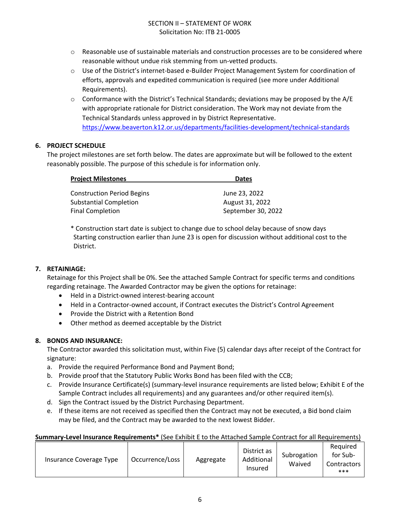- $\circ$  Reasonable use of sustainable materials and construction processes are to be considered where reasonable without undue risk stemming from un-vetted products.
- o Use of the District's internet-based e-Builder Project Management System for coordination of efforts, approvals and expedited communication is required (see more under Additional Requirements).
- $\circ$  Conformance with the District's Technical Standards; deviations may be proposed by the A/E with appropriate rationale for District consideration. The Work may not deviate from the Technical Standards unless approved in by District Representative. <https://www.beaverton.k12.or.us/departments/facilities-development/technical-standards>

#### **6. PROJECT SCHEDULE**

The project milestones are set forth below. The dates are approximate but will be followed to the extent reasonably possible. The purpose of this schedule is for information only.

| <b>Project Milestones</b>         | <b>Dates</b>       |  |
|-----------------------------------|--------------------|--|
| <b>Construction Period Begins</b> | June 23, 2022      |  |
| <b>Substantial Completion</b>     | August 31, 2022    |  |
| <b>Final Completion</b>           | September 30, 2022 |  |

\* Construction start date is subject to change due to school delay because of snow days Starting construction earlier than June 23 is open for discussion without additional cost to the District.

#### **7. RETAINIAGE:**

Retainage for this Project shall be 0%. See the attached Sample Contract for specific terms and conditions regarding retainage. The Awarded Contractor may be given the options for retainage:

- Held in a District-owned interest-bearing account
- Held in a Contractor-owned account, if Contract executes the District's Control Agreement
- Provide the District with a Retention Bond
- Other method as deemed acceptable by the District

#### **8. BONDS AND INSURANCE:**

The Contractor awarded this solicitation must, within Five (5) calendar days after receipt of the Contract for signature:

- a. Provide the required Performance Bond and Payment Bond;
- b. Provide proof that the Statutory Public Works Bond has been filed with the CCB;
- c. Provide Insurance Certificate(s) (summary-level insurance requirements are listed below; Exhibit E of the Sample Contract includes all requirements) and any guarantees and/or other required item(s).
- d. Sign the Contract issued by the District Purchasing Department.
- e. If these items are not received as specified then the Contract may not be executed, a Bid bond claim may be filed, and the Contract may be awarded to the next lowest Bidder.

#### **Summary-Level Insurance Requirements\*** (See Exhibit E to the Attached Sample Contract for all Requirements)

| Occurrence/Loss<br>Insurance Coverage Type | Aggregate | District as<br>Additional<br>Insured | Subrogation<br>Waived | Required<br>for Sub-<br>Contractors 1<br>*** |
|--------------------------------------------|-----------|--------------------------------------|-----------------------|----------------------------------------------|
|--------------------------------------------|-----------|--------------------------------------|-----------------------|----------------------------------------------|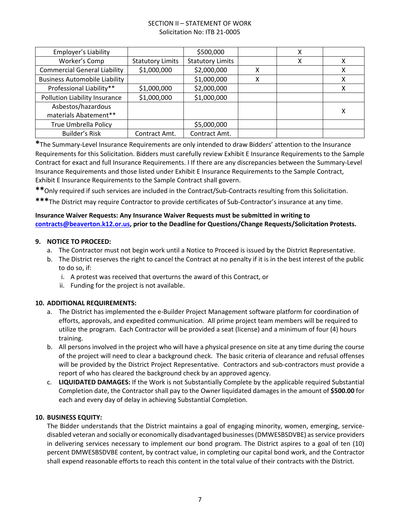#### SECTION II – STATEMENT OF WORK Solicitation No: ITB 21-0005

| <b>Employer's Liability</b>          |                         | \$500,000               |   | х |   |
|--------------------------------------|-------------------------|-------------------------|---|---|---|
| Worker's Comp                        | <b>Statutory Limits</b> | <b>Statutory Limits</b> |   | χ | Χ |
| <b>Commercial General Liability</b>  | \$1,000,000             | \$2,000,000             | χ |   | X |
| <b>Business Automobile Liability</b> |                         | \$1,000,000             | x |   | X |
| Professional Liability**             | \$1,000,000             | \$2,000,000             |   |   | X |
| Pollution Liability Insurance        | \$1,000,000             | \$1,000,000             |   |   |   |
| Asbestos/hazardous                   |                         |                         |   |   |   |
| materials Abatement**                |                         |                         |   |   | х |
| True Umbrella Policy                 |                         | \$5,000,000             |   |   |   |
| <b>Builder's Risk</b>                | Contract Amt.           | Contract Amt.           |   |   |   |

**\***The Summary-Level Insurance Requirements are only intended to draw Bidders' attention to the Insurance Requirements for this Solicitation. Bidders must carefully review Exhibit E Insurance Requirements to the Sample Contract for exact and full Insurance Requirements. I If there are any discrepancies between the Summary-Level Insurance Requirements and those listed under Exhibit E Insurance Requirements to the Sample Contract, Exhibit E Insurance Requirements to the Sample Contract shall govern.

**\*\***Only required if such services are included in the Contract/Sub-Contracts resulting from this Solicitation.

**\*\*\***The District may require Contractor to provide certificates of Sub-Contractor's insurance at any time.

#### **Insurance Waiver Requests: Any Insurance Waiver Requests must be submitted in writing to [contracts@beaverton.k12.or.us,](mailto:contracts@beaverton.k12.or.us) prior to the Deadline for Questions/Change Requests/Solicitation Protests.**

#### **9. NOTICE TO PROCEED:**

- a. The Contractor must not begin work until a Notice to Proceed is issued by the District Representative.
- b. The District reserves the right to cancel the Contract at no penalty if it is in the best interest of the public to do so, if:
	- i. A protest was received that overturns the award of this Contract, or
	- ii. Funding for the project is not available.

#### **10. ADDITIONAL REQUIREMENTS:**

- a. The District has implemented the e-Builder Project Management software platform for coordination of efforts, approvals, and expedited communication. All prime project team members will be required to utilize the program. Each Contractor will be provided a seat (license) and a minimum of four (4) hours training.
- b. All persons involved in the project who will have a physical presence on site at any time during the course of the project will need to clear a background check. The basic criteria of clearance and refusal offenses will be provided by the District Project Representative. Contractors and sub-contractors must provide a report of who has cleared the background check by an approved agency.
- c. **LIQUIDATED DAMAGES:** If the Work is not Substantially Complete by the applicable required Substantial Completion date, the Contractor shall pay to the Owner liquidated damages in the amount of **\$500.00** for each and every day of delay in achieving Substantial Completion.

#### **10. BUSINESS EQUITY:**

The Bidder understands that the District maintains a goal of engaging minority, women, emerging, servicedisabled veteran and socially or economically disadvantaged businesses (DMWESBSDVBE) as service providers in delivering services necessary to implement our bond program. The District aspires to a goal of ten (10) percent DMWESBSDVBE content, by contract value, in completing our capital bond work, and the Contractor shall expend reasonable efforts to reach this content in the total value of their contracts with the District.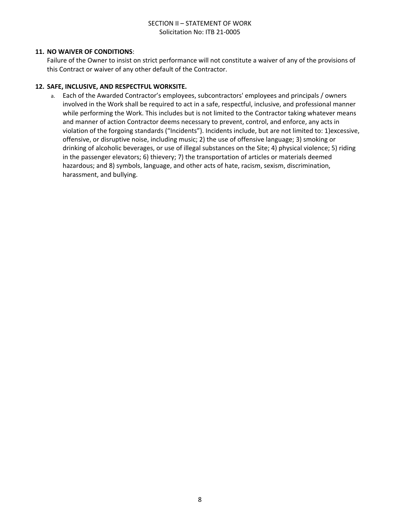#### SECTION II – STATEMENT OF WORK Solicitation No: ITB 21-0005

#### **11. NO WAIVER OF CONDITIONS**:

Failure of the Owner to insist on strict performance will not constitute a waiver of any of the provisions of this Contract or waiver of any other default of the Contractor.

#### **12. SAFE, INCLUSIVE, AND RESPECTFUL WORKSITE.**

a. Each of the Awarded Contractor's employees, subcontractors' employees and principals / owners involved in the Work shall be required to act in a safe, respectful, inclusive, and professional manner while performing the Work. This includes but is not limited to the Contractor taking whatever means and manner of action Contractor deems necessary to prevent, control, and enforce, any acts in violation of the forgoing standards ("Incidents"). Incidents include, but are not limited to: 1)excessive, offensive, or disruptive noise, including music; 2) the use of offensive language; 3) smoking or drinking of alcoholic beverages, or use of illegal substances on the Site; 4) physical violence; 5) riding in the passenger elevators; 6) thievery; 7) the transportation of articles or materials deemed hazardous; and 8) symbols, language, and other acts of hate, racism, sexism, discrimination, harassment, and bullying.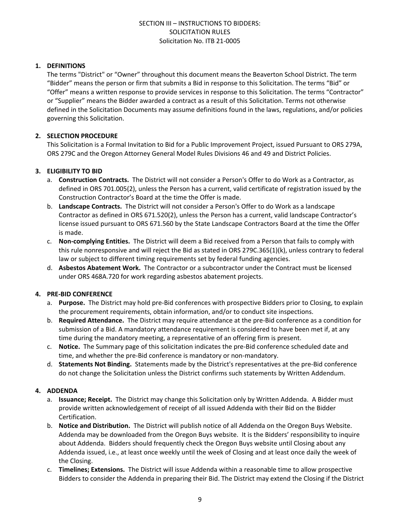#### **1. DEFINITIONS**

The terms "District" or "Owner" throughout this document means the Beaverton School District. The term "Bidder" means the person or firm that submits a Bid in response to this Solicitation. The terms "Bid" or "Offer" means a written response to provide services in response to this Solicitation. The terms "Contractor" or "Supplier" means the Bidder awarded a contract as a result of this Solicitation. Terms not otherwise defined in the Solicitation Documents may assume definitions found in the laws, regulations, and/or policies governing this Solicitation.

#### **2. SELECTION PROCEDURE**

This Solicitation is a Formal Invitation to Bid for a Public Improvement Project, issued Pursuant to ORS 279A, ORS 279C and the Oregon Attorney General Model Rules Divisions 46 and 49 and District Policies.

#### **3. ELIGIBILITY TO BID**

- a. **Construction Contracts.** The District will not consider a Person's Offer to do Work as a Contractor, as defined in ORS 701.005(2), unless the Person has a current, valid certificate of registration issued by the Construction Contractor's Board at the time the Offer is made.
- b. **Landscape Contracts.** The District will not consider a Person's Offer to do Work as a landscape Contractor as defined in ORS 671.520(2), unless the Person has a current, valid landscape Contractor's license issued pursuant to ORS 671.560 by the State Landscape Contractors Board at the time the Offer is made.
- c. **Non-complying Entities.** The District will deem a Bid received from a Person that fails to comply with this rule nonresponsive and will reject the Bid as stated in ORS 279C.365(1)(k), unless contrary to federal law or subject to different timing requirements set by federal funding agencies.
- d. **Asbestos Abatement Work.** The Contractor or a subcontractor under the Contract must be licensed under ORS 468A.720 for work regarding asbestos abatement projects.

#### **4. PRE-BID CONFERENCE**

- a. **Purpose.** The District may hold pre-Bid conferences with prospective Bidders prior to Closing, to explain the procurement requirements, obtain information, and/or to conduct site inspections.
- b. **Required Attendance.** The District may require attendance at the pre-Bid conference as a condition for submission of a Bid. A mandatory attendance requirement is considered to have been met if, at any time during the mandatory meeting, a representative of an offering firm is present.
- c. **Notice.** The Summary page of this solicitation indicates the pre-Bid conference scheduled date and time, and whether the pre-Bid conference is mandatory or non-mandatory.
- d. **Statements Not Binding.** Statements made by the District's representatives at the pre-Bid conference do not change the Solicitation unless the District confirms such statements by Written Addendum.

#### **4. ADDENDA**

- a. **Issuance; Receipt.** The District may change this Solicitation only by Written Addenda. A Bidder must provide written acknowledgement of receipt of all issued Addenda with their Bid on the Bidder Certification.
- b. **Notice and Distribution.** The District will publish notice of all Addenda on the Oregon Buys Website. Addenda may be downloaded from the Oregon Buys website. It is the Bidders' responsibility to inquire about Addenda. Bidders should frequently check the Oregon Buys website until Closing about any Addenda issued, i.e., at least once weekly until the week of Closing and at least once daily the week of the Closing.
- c. **Timelines; Extensions.** The District will issue Addenda within a reasonable time to allow prospective Bidders to consider the Addenda in preparing their Bid. The District may extend the Closing if the District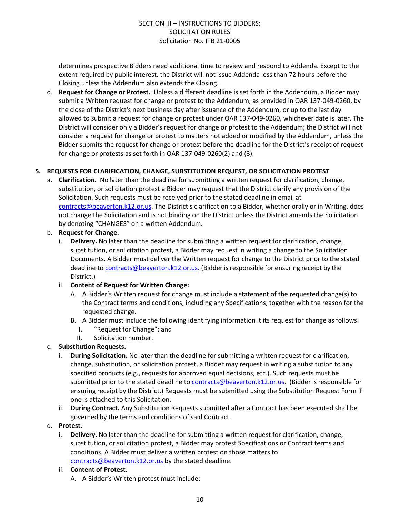determines prospective Bidders need additional time to review and respond to Addenda. Except to the extent required by public interest, the District will not issue Addenda less than 72 hours before the Closing unless the Addendum also extends the Closing.

d. **Request for Change or Protest.** Unless a different deadline is set forth in the Addendum, a Bidder may submit a Written request for change or protest to the Addendum, as provided in OAR 137-049-0260, by the close of the District's next business day after issuance of the Addendum, or up to the last day allowed to submit a request for change or protest under OAR 137-049-0260, whichever date is later. The District will consider only a Bidder's request for change or protest to the Addendum; the District will not consider a request for change or protest to matters not added or modified by the Addendum, unless the Bidder submits the request for change or protest before the deadline for the District's receipt of request for change or protests as set forth in OAR 137-049-0260(2) and (3).

#### **5. REQUESTS FOR CLARIFICATION, CHANGE, SUBSTITUTION REQUEST, OR SOLICITATION PROTEST**

a. **Clarification.** No later than the deadline for submitting a written request for clarification, change, substitution, or solicitation protest a Bidder may request that the District clarify any provision of the Solicitation. Such requests must be received prior to the stated deadline in email at [contracts@beaverton.k12.or.us.](mailto:contracts@beaverton.k12.or.us) The District's clarification to a Bidder, whether orally or in Writing, does not change the Solicitation and is not binding on the District unless the District amends the Solicitation by denoting "CHANGES" on a written Addendum.

#### b. **Request for Change.**

i. **Delivery.** No later than the deadline for submitting a written request for clarification, change, substitution, or solicitation protest, a Bidder may request in writing a change to the Solicitation Documents. A Bidder must deliver the Written request for change to the District prior to the stated deadline to [contracts@beaverton.k12.or.us.](mailto:contracts@beaverton.k12.or.us) (Bidder is responsible for ensuring receipt by the District.)

#### ii. **Content of Request for Written Change:**

- A. A Bidder's Written request for change must include a statement of the requested change(s) to the Contract terms and conditions, including any Specifications, together with the reason for the requested change.
- B. A Bidder must include the following identifying information it its request for change as follows:
	- I. "Request for Change"; and
	- II. Solicitation number.

#### c. **Substitution Requests.**

- i. **During Solicitation.** No later than the deadline for submitting a written request for clarification, change, substitution, or solicitation protest, a Bidder may request in writing a substitution to any specified products (e.g., requests for approved equal decisions, etc.). Such requests must be submitted prior to the stated deadline to [contracts@beaverton.k12.or.us](mailto:contracts@beaverton.k12.or.us). (Bidder is responsible for ensuring receipt by the District.) Requests must be submitted using the Substitution Request Form if one is attached to this Solicitation.
- ii. **During Contract.** Any Substitution Requests submitted after a Contract has been executed shall be governed by the terms and conditions of said Contract.

#### d. **Protest.**

i. **Delivery.** No later than the deadline for submitting a written request for clarification, change, substitution, or solicitation protest, a Bidder may protest Specifications or Contract terms and conditions. A Bidder must deliver a written protest on those matters to [contracts@beaverton.k12.or.us](mailto:contracts@beaverton.k12.or.us) by the stated deadline.

#### ii. **Content of Protest.**

A. A Bidder's Written protest must include: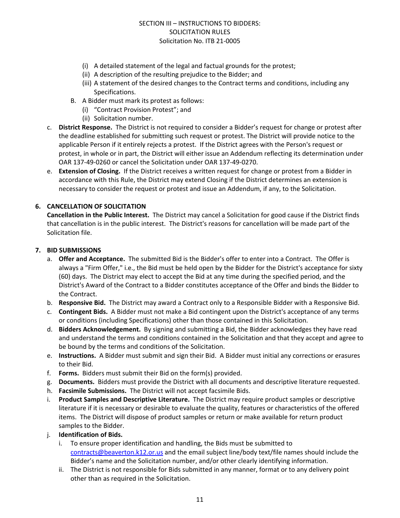- (i) A detailed statement of the legal and factual grounds for the protest;
- (ii) A description of the resulting prejudice to the Bidder; and
- (iii) A statement of the desired changes to the Contract terms and conditions, including any Specifications.
- B. A Bidder must mark its protest as follows:
	- (i) "Contract Provision Protest"; and
	- (ii) Solicitation number.
- c. **District Response.** The District is not required to consider a Bidder's request for change or protest after the deadline established for submitting such request or protest. The District will provide notice to the applicable Person if it entirely rejects a protest. If the District agrees with the Person's request or protest, in whole or in part, the District will either issue an Addendum reflecting its determination under OAR 137-49-0260 or cancel the Solicitation under OAR 137-49-0270.
- e. **Extension of Closing.** If the District receives a written request for change or protest from a Bidder in accordance with this Rule, the District may extend Closing if the District determines an extension is necessary to consider the request or protest and issue an Addendum, if any, to the Solicitation.

#### **6. CANCELLATION OF SOLICITATION**

**Cancellation in the Public Interest.** The District may cancel a Solicitation for good cause if the District finds that cancellation is in the public interest. The District's reasons for cancellation will be made part of the Solicitation file.

#### **7. BID SUBMISSIONS**

- a. **Offer and Acceptance.** The submitted Bid is the Bidder's offer to enter into a Contract. The Offer is always a "Firm Offer," i.e., the Bid must be held open by the Bidder for the District's acceptance for sixty (60) days. The District may elect to accept the Bid at any time during the specified period, and the District's Award of the Contract to a Bidder constitutes acceptance of the Offer and binds the Bidder to the Contract.
- b. **Responsive Bid.** The District may award a Contract only to a Responsible Bidder with a Responsive Bid.
- c. **Contingent Bids.** A Bidder must not make a Bid contingent upon the District's acceptance of any terms or conditions (including Specifications) other than those contained in this Solicitation.
- d. **Bidders Acknowledgement.** By signing and submitting a Bid, the Bidder acknowledges they have read and understand the terms and conditions contained in the Solicitation and that they accept and agree to be bound by the terms and conditions of the Solicitation.
- e. **Instructions.** A Bidder must submit and sign their Bid. A Bidder must initial any corrections or erasures to their Bid.
- f. **Forms.** Bidders must submit their Bid on the form(s) provided.
- g. **Documents.** Bidders must provide the District with all documents and descriptive literature requested.
- h. **Facsimile Submissions.** The District will not accept facsimile Bids.
- i. **Product Samples and Descriptive Literature.** The District may require product samples or descriptive literature if it is necessary or desirable to evaluate the quality, features or characteristics of the offered items. The District will dispose of product samples or return or make available for return product samples to the Bidder.
- j. **Identification of Bids.**
	- i. To ensure proper identification and handling, the Bids must be submitted to [contracts@beaverton.k12.or.us](mailto:contracts@beaverton.k12.or.us) and the email subject line/body text/file names should include the Bidder's name and the Solicitation number, and/or other clearly identifying information.
	- ii. The District is not responsible for Bids submitted in any manner, format or to any delivery point other than as required in the Solicitation.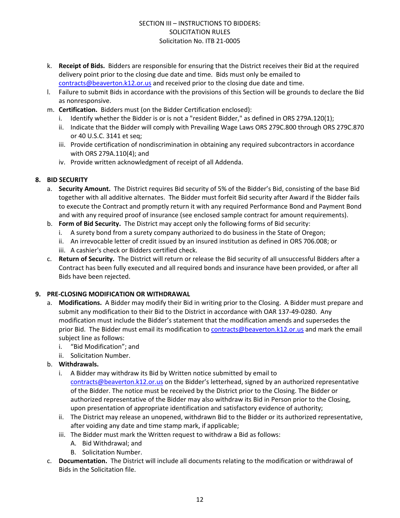- k. **Receipt of Bids.** Bidders are responsible for ensuring that the District receives their Bid at the required delivery point prior to the closing due date and time. Bids must only be emailed to [contracts@beaverton.k12.or.us](mailto:contracts@beaverton.k12.or.us) and received prior to the closing due date and time.
- l. Failure to submit Bids in accordance with the provisions of this Section will be grounds to declare the Bid as nonresponsive.
- m. **Certification.** Bidders must (on the Bidder Certification enclosed):
	- i. Identify whether the Bidder is or is not a "resident Bidder," as defined in ORS 279A.120(1);
	- ii. Indicate that the Bidder will comply with Prevailing Wage Laws ORS 279C.800 through ORS 279C.870 or 40 U.S.C. 3141 et seq;
	- iii. Provide certification of nondiscrimination in obtaining any required subcontractors in accordance with ORS 279A.110(4); and
	- iv. Provide written acknowledgment of receipt of all Addenda.

#### **8. BID SECURITY**

- a. **Security Amount.** The District requires Bid security of 5% of the Bidder's Bid, consisting of the base Bid together with all additive alternates. The Bidder must forfeit Bid security after Award if the Bidder fails to execute the Contract and promptly return it with any required Performance Bond and Payment Bond and with any required proof of insurance (see enclosed sample contract for amount requirements).
- b. **Form of Bid Security.** The District may accept only the following forms of Bid security:
	- i. A surety bond from a surety company authorized to do business in the State of Oregon;
	- ii. An irrevocable letter of credit issued by an insured institution as defined in ORS 706.008; or
	- iii. A cashier's check or Bidders certified check.
- c. **Return of Security.** The District will return or release the Bid security of all unsuccessful Bidders after a Contract has been fully executed and all required bonds and insurance have been provided, or after all Bids have been rejected.

#### **9. PRE-CLOSING MODIFICATION OR WITHDRAWAL**

- a. **Modifications.** A Bidder may modify their Bid in writing prior to the Closing. A Bidder must prepare and submit any modification to their Bid to the District in accordance with OAR 137-49-0280. Any modification must include the Bidder's statement that the modification amends and supersedes the prior Bid. The Bidder must email its modification to [contracts@beaverton.k12.or.us](mailto:contracts@beaverton.k12.or.us) and mark the email subject line as follows:
	- i. "Bid Modification"; and
	- ii. Solicitation Number.
- b. **Withdrawals.**
	- i. A Bidder may withdraw its Bid by Written notice submitted by email to [contracts@beaverton.k12.or.us](mailto:contracts@beaverton.k12.or.us) on the Bidder's letterhead, signed by an authorized representative of the Bidder. The notice must be received by the District prior to the Closing. The Bidder or authorized representative of the Bidder may also withdraw its Bid in Person prior to the Closing, upon presentation of appropriate identification and satisfactory evidence of authority;
	- ii. The District may release an unopened, withdrawn Bid to the Bidder or its authorized representative, after voiding any date and time stamp mark, if applicable;
	- iii. The Bidder must mark the Written request to withdraw a Bid as follows:
		- A. Bid Withdrawal; and
		- B. Solicitation Number.
- c. **Documentation.** The District will include all documents relating to the modification or withdrawal of Bids in the Solicitation file.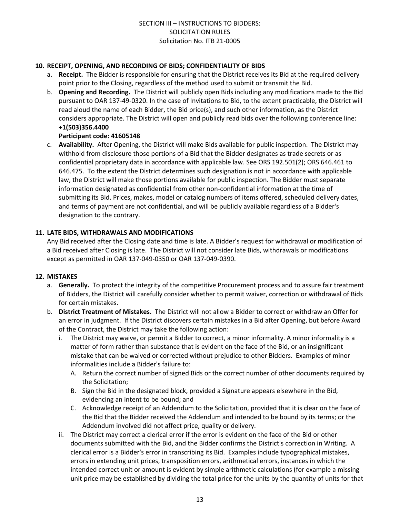#### **10. RECEIPT, OPENING, AND RECORDING OF BIDS; CONFIDENTIALITY OF BIDS**

- a. **Receipt.** The Bidder is responsible for ensuring that the District receives its Bid at the required delivery point prior to the Closing, regardless of the method used to submit or transmit the Bid.
- b. **Opening and Recording.** The District will publicly open Bids including any modifications made to the Bid pursuant to OAR 137-49-0320. In the case of Invitations to Bid, to the extent practicable, the District will read aloud the name of each Bidder, the Bid price(s), and such other information, as the District considers appropriate. The District will open and publicly read bids over the following conference line: **+1(503)356.4400**

#### **Participant code: 41605148**

c. **Availability.** After Opening, the District will make Bids available for public inspection. The District may withhold from disclosure those portions of a Bid that the Bidder designates as trade secrets or as confidential proprietary data in accordance with applicable law. See ORS 192.501(2); ORS 646.461 to 646.475. To the extent the District determines such designation is not in accordance with applicable law, the District will make those portions available for public inspection. The Bidder must separate information designated as confidential from other non-confidential information at the time of submitting its Bid. Prices, makes, model or catalog numbers of items offered, scheduled delivery dates, and terms of payment are not confidential, and will be publicly available regardless of a Bidder's designation to the contrary.

#### **11. LATE BIDS, WITHDRAWALS AND MODIFICATIONS**

Any Bid received after the Closing date and time is late. A Bidder's request for withdrawal or modification of a Bid received after Closing is late. The District will not consider late Bids, withdrawals or modifications except as permitted in OAR 137-049-0350 or OAR 137-049-0390.

#### **12. MISTAKES**

- a. **Generally.** To protect the integrity of the competitive Procurement process and to assure fair treatment of Bidders, the District will carefully consider whether to permit waiver, correction or withdrawal of Bids for certain mistakes.
- b. **District Treatment of Mistakes.** The District will not allow a Bidder to correct or withdraw an Offer for an error in judgment. If the District discovers certain mistakes in a Bid after Opening, but before Award of the Contract, the District may take the following action:
	- i. The District may waive, or permit a Bidder to correct, a minor informality. A minor informality is a matter of form rather than substance that is evident on the face of the Bid, or an insignificant mistake that can be waived or corrected without prejudice to other Bidders. Examples of minor informalities include a Bidder's failure to:
		- A. Return the correct number of signed Bids or the correct number of other documents required by the Solicitation;
		- B. Sign the Bid in the designated block, provided a Signature appears elsewhere in the Bid, evidencing an intent to be bound; and
		- C. Acknowledge receipt of an Addendum to the Solicitation, provided that it is clear on the face of the Bid that the Bidder received the Addendum and intended to be bound by its terms; or the Addendum involved did not affect price, quality or delivery.
	- ii. The District may correct a clerical error if the error is evident on the face of the Bid or other documents submitted with the Bid, and the Bidder confirms the District's correction in Writing. A clerical error is a Bidder's error in transcribing its Bid. Examples include typographical mistakes, errors in extending unit prices, transposition errors, arithmetical errors, instances in which the intended correct unit or amount is evident by simple arithmetic calculations (for example a missing unit price may be established by dividing the total price for the units by the quantity of units for that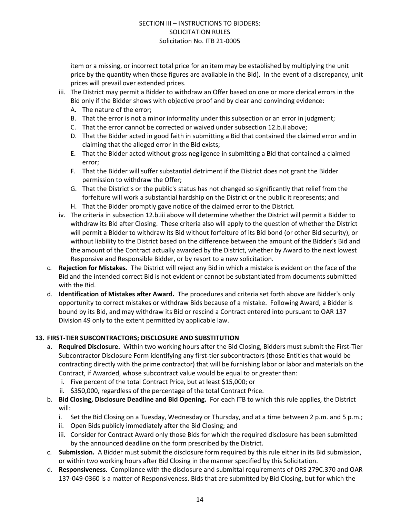item or a missing, or incorrect total price for an item may be established by multiplying the unit price by the quantity when those figures are available in the Bid). In the event of a discrepancy, unit prices will prevail over extended prices.

- iii. The District may permit a Bidder to withdraw an Offer based on one or more clerical errors in the Bid only if the Bidder shows with objective proof and by clear and convincing evidence:
	- A. The nature of the error;
	- B. That the error is not a minor informality under this subsection or an error in judgment;
	- C. That the error cannot be corrected or waived under subsection 12.b.ii above;
	- D. That the Bidder acted in good faith in submitting a Bid that contained the claimed error and in claiming that the alleged error in the Bid exists;
	- E. That the Bidder acted without gross negligence in submitting a Bid that contained a claimed error;
	- F. That the Bidder will suffer substantial detriment if the District does not grant the Bidder permission to withdraw the Offer;
	- G. That the District's or the public's status has not changed so significantly that relief from the forfeiture will work a substantial hardship on the District or the public it represents; and
	- H. That the Bidder promptly gave notice of the claimed error to the District.
- iv. The criteria in subsection 12.b.iii above will determine whether the District will permit a Bidder to withdraw its Bid after Closing. These criteria also will apply to the question of whether the District will permit a Bidder to withdraw its Bid without forfeiture of its Bid bond (or other Bid security), or without liability to the District based on the difference between the amount of the Bidder's Bid and the amount of the Contract actually awarded by the District, whether by Award to the next lowest Responsive and Responsible Bidder, or by resort to a new solicitation.
- c. **Rejection for Mistakes.** The District will reject any Bid in which a mistake is evident on the face of the Bid and the intended correct Bid is not evident or cannot be substantiated from documents submitted with the Bid.
- d. **Identification of Mistakes after Award.** The procedures and criteria set forth above are Bidder's only opportunity to correct mistakes or withdraw Bids because of a mistake. Following Award, a Bidder is bound by its Bid, and may withdraw its Bid or rescind a Contract entered into pursuant to OAR 137 Division 49 only to the extent permitted by applicable law.

#### **13. FIRST-TIER SUBCONTRACTORS; DISCLOSURE AND SUBSTITUTION**

- a. **Required Disclosure.** Within two working hours after the Bid Closing, Bidders must submit the First-Tier Subcontractor Disclosure Form identifying any first-tier subcontractors (those Entities that would be contracting directly with the prime contractor) that will be furnishing labor or labor and materials on the Contract, if Awarded, whose subcontract value would be equal to or greater than:
	- i. Five percent of the total Contract Price, but at least \$15,000; or
	- ii. \$350,000, regardless of the percentage of the total Contract Price.
- b. **Bid Closing, Disclosure Deadline and Bid Opening.** For each ITB to which this rule applies, the District will:
	- i. Set the Bid Closing on a Tuesday, Wednesday or Thursday, and at a time between 2 p.m. and 5 p.m.;
	- ii. Open Bids publicly immediately after the Bid Closing; and
	- iii. Consider for Contract Award only those Bids for which the required disclosure has been submitted by the announced deadline on the form prescribed by the District.
- c. **Submission.** A Bidder must submit the disclosure form required by this rule either in its Bid submission, or within two working hours after Bid Closing in the manner specified by this Solicitation.
- d. **Responsiveness.** Compliance with the disclosure and submittal requirements of ORS 279C.370 and OAR 137-049-0360 is a matter of Responsiveness. Bids that are submitted by Bid Closing, but for which the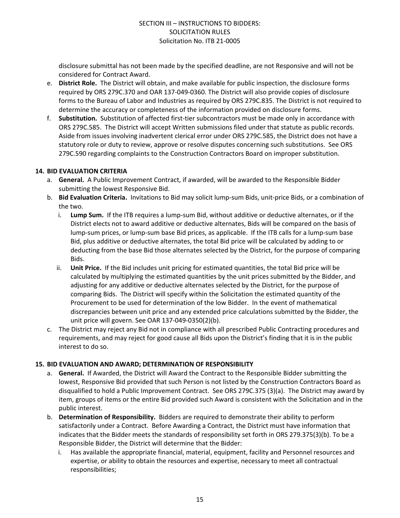disclosure submittal has not been made by the specified deadline, are not Responsive and will not be considered for Contract Award.

- e. **District Role.** The District will obtain, and make available for public inspection, the disclosure forms required by ORS 279C.370 and OAR 137-049-0360. The District will also provide copies of disclosure forms to the Bureau of Labor and Industries as required by ORS 279C.835. The District is not required to determine the accuracy or completeness of the information provided on disclosure forms.
- f. **Substitution.** Substitution of affected first-tier subcontractors must be made only in accordance with ORS 279C.585. The District will accept Written submissions filed under that statute as public records. Aside from issues involving inadvertent clerical error under ORS 279C.585, the District does not have a statutory role or duty to review, approve or resolve disputes concerning such substitutions. See ORS 279C.590 regarding complaints to the Construction Contractors Board on improper substitution.

#### **14. BID EVALUATION CRITERIA**

- a. **General.** A Public Improvement Contract, if awarded, will be awarded to the Responsible Bidder submitting the lowest Responsive Bid.
- b. **Bid Evaluation Criteria.** Invitations to Bid may solicit lump-sum Bids, unit-price Bids, or a combination of the two.
	- i. **Lump Sum.** If the ITB requires a lump-sum Bid, without additive or deductive alternates, or if the District elects not to award additive or deductive alternates, Bids will be compared on the basis of lump-sum prices, or lump-sum base Bid prices, as applicable. If the ITB calls for a lump-sum base Bid, plus additive or deductive alternates, the total Bid price will be calculated by adding to or deducting from the base Bid those alternates selected by the District, for the purpose of comparing Bids.
	- ii. **Unit Price.** If the Bid includes unit pricing for estimated quantities, the total Bid price will be calculated by multiplying the estimated quantities by the unit prices submitted by the Bidder, and adjusting for any additive or deductive alternates selected by the District, for the purpose of comparing Bids. The District will specify within the Solicitation the estimated quantity of the Procurement to be used for determination of the low Bidder. In the event of mathematical discrepancies between unit price and any extended price calculations submitted by the Bidder, the unit price will govern. See OAR 137-049-0350(2)(b).
- c. The District may reject any Bid not in compliance with all prescribed Public Contracting procedures and requirements, and may reject for good cause all Bids upon the District's finding that it is in the public interest to do so.

#### **15. BID EVALUATION AND AWARD; DETERMINATION OF RESPONSIBILITY**

- a. **General.** If Awarded, the District will Award the Contract to the Responsible Bidder submitting the lowest, Responsive Bid provided that such Person is not listed by the Construction Contractors Board as disqualified to hold a Public Improvement Contract. See ORS 279C.375 (3)(a). The District may award by item, groups of items or the entire Bid provided such Award is consistent with the Solicitation and in the public interest.
- b. **Determination of Responsibility.** Bidders are required to demonstrate their ability to perform satisfactorily under a Contract. Before Awarding a Contract, the District must have information that indicates that the Bidder meets the standards of responsibility set forth in ORS 279.375(3)(b). To be a Responsible Bidder, the District will determine that the Bidder:
	- i. Has available the appropriate financial, material, equipment, facility and Personnel resources and expertise, or ability to obtain the resources and expertise, necessary to meet all contractual responsibilities;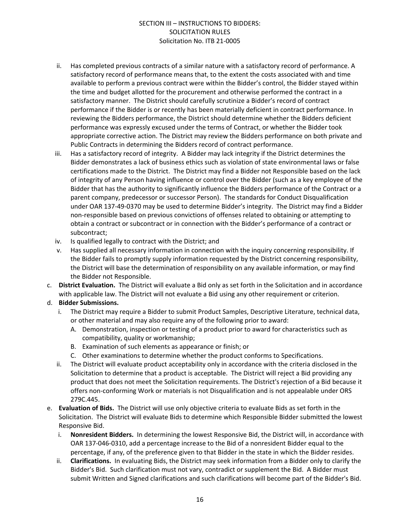- ii. Has completed previous contracts of a similar nature with a satisfactory record of performance. A satisfactory record of performance means that, to the extent the costs associated with and time available to perform a previous contract were within the Bidder's control, the Bidder stayed within the time and budget allotted for the procurement and otherwise performed the contract in a satisfactory manner. The District should carefully scrutinize a Bidder's record of contract performance if the Bidder is or recently has been materially deficient in contract performance. In reviewing the Bidders performance, the District should determine whether the Bidders deficient performance was expressly excused under the terms of Contract, or whether the Bidder took appropriate corrective action. The District may review the Bidders performance on both private and Public Contracts in determining the Bidders record of contract performance.
- iii. Has a satisfactory record of integrity. A Bidder may lack integrity if the District determines the Bidder demonstrates a lack of business ethics such as violation of state environmental laws or false certifications made to the District. The District may find a Bidder not Responsible based on the lack of integrity of any Person having influence or control over the Bidder (such as a key employee of the Bidder that has the authority to significantly influence the Bidders performance of the Contract or a parent company, predecessor or successor Person). The standards for Conduct Disqualification under OAR 137-49-0370 may be used to determine Bidder's integrity. The District may find a Bidder non-responsible based on previous convictions of offenses related to obtaining or attempting to obtain a contract or subcontract or in connection with the Bidder's performance of a contract or subcontract;
- iv. Is qualified legally to contract with the District; and
- v. Has supplied all necessary information in connection with the inquiry concerning responsibility. If the Bidder fails to promptly supply information requested by the District concerning responsibility, the District will base the determination of responsibility on any available information, or may find the Bidder not Responsible.
- c. **District Evaluation.** The District will evaluate a Bid only as set forth in the Solicitation and in accordance with applicable law. The District will not evaluate a Bid using any other requirement or criterion.

#### d. **Bidder Submissions.**

- i. The District may require a Bidder to submit Product Samples, Descriptive Literature, technical data, or other material and may also require any of the following prior to award:
	- A. Demonstration, inspection or testing of a product prior to award for characteristics such as compatibility, quality or workmanship;
	- B. Examination of such elements as appearance or finish; or
	- C. Other examinations to determine whether the product conforms to Specifications.
- ii. The District will evaluate product acceptability only in accordance with the criteria disclosed in the Solicitation to determine that a product is acceptable. The District will reject a Bid providing any product that does not meet the Solicitation requirements. The District's rejection of a Bid because it offers non-conforming Work or materials is not Disqualification and is not appealable under ORS 279C.445.
- e. **Evaluation of Bids.** The District will use only objective criteria to evaluate Bids as set forth in the Solicitation. The District will evaluate Bids to determine which Responsible Bidder submitted the lowest Responsive Bid.
	- i. **Nonresident Bidders.** In determining the lowest Responsive Bid, the District will, in accordance with OAR 137-046-0310, add a percentage increase to the Bid of a nonresident Bidder equal to the percentage, if any, of the preference given to that Bidder in the state in which the Bidder resides.
	- ii. **Clarifications.** In evaluating Bids, the District may seek information from a Bidder only to clarify the Bidder's Bid. Such clarification must not vary, contradict or supplement the Bid. A Bidder must submit Written and Signed clarifications and such clarifications will become part of the Bidder's Bid.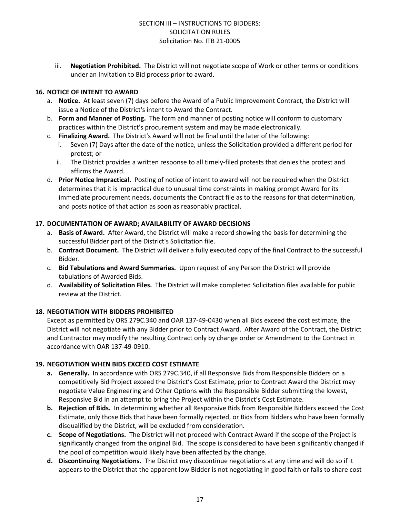iii. **Negotiation Prohibited.** The District will not negotiate scope of Work or other terms or conditions under an Invitation to Bid process prior to award.

#### **16. NOTICE OF INTENT TO AWARD**

- a. **Notice.** At least seven (7) days before the Award of a Public Improvement Contract, the District will issue a Notice of the District's intent to Award the Contract.
- b. **Form and Manner of Posting.** The form and manner of posting notice will conform to customary practices within the District's procurement system and may be made electronically.
- c. **Finalizing Award.** The District's Award will not be final until the later of the following:
	- Seven (7) Days after the date of the notice, unless the Solicitation provided a different period for protest; or
	- ii. The District provides a written response to all timely-filed protests that denies the protest and affirms the Award.
- d. **Prior Notice Impractical.** Posting of notice of intent to award will not be required when the District determines that it is impractical due to unusual time constraints in making prompt Award for its immediate procurement needs, documents the Contract file as to the reasons for that determination, and posts notice of that action as soon as reasonably practical.

#### **17. DOCUMENTATION OF AWARD; AVAILABILITY OF AWARD DECISIONS**

- a. **Basis of Award.** After Award, the District will make a record showing the basis for determining the successful Bidder part of the District's Solicitation file.
- b. **Contract Document.** The District will deliver a fully executed copy of the final Contract to the successful Bidder.
- c. **Bid Tabulations and Award Summaries.** Upon request of any Person the District will provide tabulations of Awarded Bids.
- d. **Availability of Solicitation Files.** The District will make completed Solicitation files available for public review at the District.

#### **18. NEGOTIATION WITH BIDDERS PROHIBITED**

Except as permitted by ORS 279C.340 and OAR 137-49-0430 when all Bids exceed the cost estimate, the District will not negotiate with any Bidder prior to Contract Award. After Award of the Contract, the District and Contractor may modify the resulting Contract only by change order or Amendment to the Contract in accordance with OAR 137-49-0910.

#### **19. NEGOTIATION WHEN BIDS EXCEED COST ESTIMATE**

- **a. Generally.** In accordance with ORS 279C.340, if all Responsive Bids from Responsible Bidders on a competitively Bid Project exceed the District's Cost Estimate, prior to Contract Award the District may negotiate Value Engineering and Other Options with the Responsible Bidder submitting the lowest, Responsive Bid in an attempt to bring the Project within the District's Cost Estimate.
- **b. Rejection of Bids.** In determining whether all Responsive Bids from Responsible Bidders exceed the Cost Estimate, only those Bids that have been formally rejected, or Bids from Bidders who have been formally disqualified by the District, will be excluded from consideration.
- **c. Scope of Negotiations.** The District will not proceed with Contract Award if the scope of the Project is significantly changed from the original Bid. The scope is considered to have been significantly changed if the pool of competition would likely have been affected by the change.
- **d. Discontinuing Negotiations.** The District may discontinue negotiations at any time and will do so if it appears to the District that the apparent low Bidder is not negotiating in good faith or fails to share cost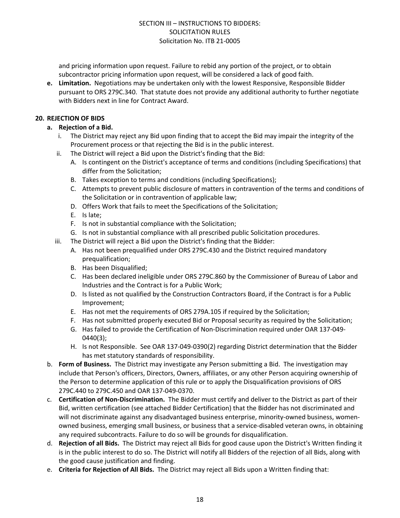and pricing information upon request. Failure to rebid any portion of the project, or to obtain subcontractor pricing information upon request, will be considered a lack of good faith.

**e. Limitation.** Negotiations may be undertaken only with the lowest Responsive, Responsible Bidder pursuant to ORS 279C.340. That statute does not provide any additional authority to further negotiate with Bidders next in line for Contract Award.

#### **20. REJECTION OF BIDS**

- **a. Rejection of a Bid.**
	- i. The District may reject any Bid upon finding that to accept the Bid may impair the integrity of the Procurement process or that rejecting the Bid is in the public interest.
	- ii. The District will reject a Bid upon the District's finding that the Bid:
		- A. Is contingent on the District's acceptance of terms and conditions (including Specifications) that differ from the Solicitation;
		- B. Takes exception to terms and conditions (including Specifications);
		- C. Attempts to prevent public disclosure of matters in contravention of the terms and conditions of the Solicitation or in contravention of applicable law;
		- D. Offers Work that fails to meet the Specifications of the Solicitation;
		- E. Is late;
		- F. Is not in substantial compliance with the Solicitation;
		- G. Is not in substantial compliance with all prescribed public Solicitation procedures.
	- iii. The District will reject a Bid upon the District's finding that the Bidder:
		- A. Has not been prequalified under ORS 279C.430 and the District required mandatory prequalification;
		- B. Has been Disqualified;
		- C. Has been declared ineligible under ORS 279C.860 by the Commissioner of Bureau of Labor and Industries and the Contract is for a Public Work;
		- D. Is listed as not qualified by the Construction Contractors Board, if the Contract is for a Public Improvement;
		- E. Has not met the requirements of ORS 279A.105 if required by the Solicitation;
		- F. Has not submitted properly executed Bid or Proposal security as required by the Solicitation;
		- G. Has failed to provide the Certification of Non-Discrimination required under OAR 137-049- 0440(3);
		- H. Is not Responsible. See OAR 137-049-0390(2) regarding District determination that the Bidder has met statutory standards of responsibility.
- b. **Form of Business.** The District may investigate any Person submitting a Bid. The investigation may include that Person's officers, Directors, Owners, affiliates, or any other Person acquiring ownership of the Person to determine application of this rule or to apply the Disqualification provisions of ORS 279C.440 to 279C.450 and OAR 137-049-0370.
- c. **Certification of Non-Discrimination.** The Bidder must certify and deliver to the District as part of their Bid, written certification (see attached Bidder Certification) that the Bidder has not discriminated and will not discriminate against any disadvantaged business enterprise, minority-owned business, womenowned business, emerging small business, or business that a service-disabled veteran owns, in obtaining any required subcontracts. Failure to do so will be grounds for disqualification.
- d. **Rejection of all Bids.** The District may reject all Bids for good cause upon the District's Written finding it is in the public interest to do so. The District will notify all Bidders of the rejection of all Bids, along with the good cause justification and finding.
- e. **Criteria for Rejection of All Bids.** The District may reject all Bids upon a Written finding that: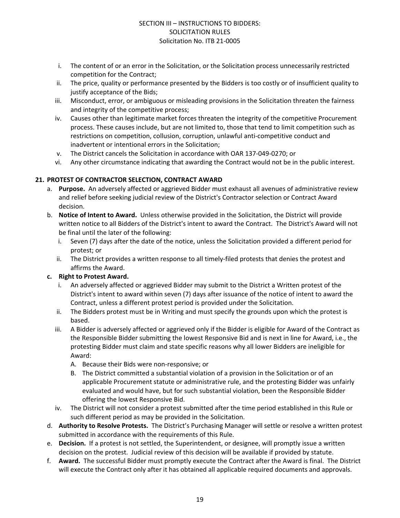- i. The content of or an error in the Solicitation, or the Solicitation process unnecessarily restricted competition for the Contract;
- ii. The price, quality or performance presented by the Bidders is too costly or of insufficient quality to justify acceptance of the Bids;
- iii. Misconduct, error, or ambiguous or misleading provisions in the Solicitation threaten the fairness and integrity of the competitive process;
- iv. Causes other than legitimate market forces threaten the integrity of the competitive Procurement process. These causes include, but are not limited to, those that tend to limit competition such as restrictions on competition, collusion, corruption, unlawful anti-competitive conduct and inadvertent or intentional errors in the Solicitation;
- v. The District cancels the Solicitation in accordance with OAR 137-049-0270; or
- vi. Any other circumstance indicating that awarding the Contract would not be in the public interest.

#### **21. PROTEST OF CONTRACTOR SELECTION, CONTRACT AWARD**

- a. **Purpose.** An adversely affected or aggrieved Bidder must exhaust all avenues of administrative review and relief before seeking judicial review of the District's Contractor selection or Contract Award decision.
- b. **Notice of Intent to Award.** Unless otherwise provided in the Solicitation, the District will provide written notice to all Bidders of the District's intent to award the Contract. The District's Award will not be final until the later of the following:
	- i. Seven (7) days after the date of the notice, unless the Solicitation provided a different period for protest; or
	- ii. The District provides a written response to all timely-filed protests that denies the protest and affirms the Award.

#### **c. Right to Protest Award.**

- i. An adversely affected or aggrieved Bidder may submit to the District a Written protest of the District's intent to award within seven (7) days after issuance of the notice of intent to award the Contract, unless a different protest period is provided under the Solicitation.
- ii. The Bidders protest must be in Writing and must specify the grounds upon which the protest is based.
- iii. A Bidder is adversely affected or aggrieved only if the Bidder is eligible for Award of the Contract as the Responsible Bidder submitting the lowest Responsive Bid and is next in line for Award, i.e., the protesting Bidder must claim and state specific reasons why all lower Bidders are ineligible for Award:
	- A. Because their Bids were non-responsive; or
	- B. The District committed a substantial violation of a provision in the Solicitation or of an applicable Procurement statute or administrative rule, and the protesting Bidder was unfairly evaluated and would have, but for such substantial violation, been the Responsible Bidder offering the lowest Responsive Bid.
- iv. The District will not consider a protest submitted after the time period established in this Rule or such different period as may be provided in the Solicitation.
- d. **Authority to Resolve Protests.** The District's Purchasing Manager will settle or resolve a written protest submitted in accordance with the requirements of this Rule.
- e. **Decision.** If a protest is not settled, the Superintendent, or designee, will promptly issue a written decision on the protest. Judicial review of this decision will be available if provided by statute.
- f. **Award.** The successful Bidder must promptly execute the Contract after the Award is final. The District will execute the Contract only after it has obtained all applicable required documents and approvals.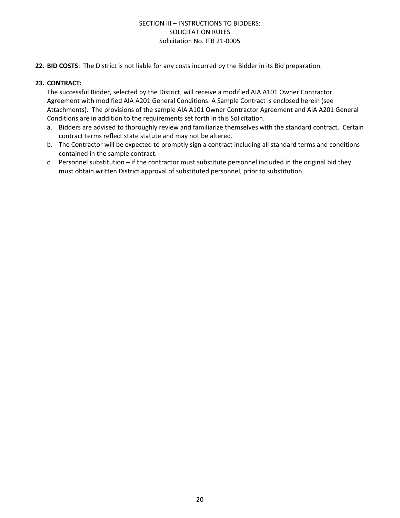**22. BID COSTS**: The District is not liable for any costs incurred by the Bidder in its Bid preparation.

#### **23. CONTRACT:**

The successful Bidder, selected by the District, will receive a modified AIA A101 Owner Contractor Agreement with modified AIA A201 General Conditions. A Sample Contract is enclosed herein (see Attachments). The provisions of the sample AIA A101 Owner Contractor Agreement and AIA A201 General Conditions are in addition to the requirements set forth in this Solicitation.

- a. Bidders are advised to thoroughly review and familiarize themselves with the standard contract. Certain contract terms reflect state statute and may not be altered.
- b. The Contractor will be expected to promptly sign a contract including all standard terms and conditions contained in the sample contract.
- c. Personnel substitution if the contractor must substitute personnel included in the original bid they must obtain written District approval of substituted personnel, prior to substitution.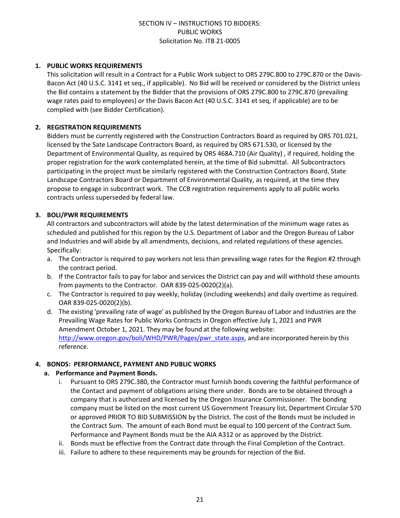#### **1. PUBLIC WORKS REQUIREMENTS**

This solicitation will result in a Contract for a Public Work subject to ORS 279C.800 to 279C.870 or the Davis-Bacon Act (40 U.S.C. 3141 et seq., if applicable). No Bid will be received or considered by the District unless the Bid contains a statement by the Bidder that the provisions of ORS 279C.800 to 279C.870 (prevailing wage rates paid to employees) or the Davis Bacon Act (40 U.S.C. 3141 et seq, if applicable) are to be complied with (see Bidder Certification).

#### **2. REGISTRATION REQUIREMENTS**

Bidders must be currently registered with the Construction Contractors Board as required by ORS 701.021, licensed by the Sate Landscape Contractors Board, as required by ORS 671.530, or licensed by the Department of Environmental Quality, as required by ORS 468A.710 (Air Quality) , if required, holding the proper registration for the work contemplated herein, at the time of Bid submittal. All Subcontractors participating in the project must be similarly registered with the Construction Contractors Board, State Landscape Contractors Board or Department of Environmental Quality, as required, at the time they propose to engage in subcontract work. The CCB registration requirements apply to all public works contracts unless superseded by federal law.

#### **3. BOLI/PWR REQUIREMENTS**

All contractors and subcontractors will abide by the latest determination of the minimum wage rates as scheduled and published for this region by the U.S. Department of Labor and the Oregon Bureau of Labor and Industries and will abide by all amendments, decisions, and related regulations of these agencies. Specifically:

- a. The Contractor is required to pay workers not less than prevailing wage rates for the Region #2 through the contract period.
- b. If the Contractor fails to pay for labor and services the District can pay and will withhold these amounts from payments to the Contractor. OAR 839-025-0020(2)(a).
- c. The Contractor is required to pay weekly, holiday (including weekends) and daily overtime as required. OAR 839-025-0020(2)(b).
- d. The existing 'prevailing rate of wage' as published by the Oregon Bureau of Labor and Industries are the Prevailing Wage Rates for Public Works Contracts in Oregon effective July 1, 2021 and PWR Amendment October 1, 2021. They may be found at the following website: [http://www.oregon.gov/boli/WHD/PWR/Pages/pwr\\_state.aspx](http://www.oregon.gov/boli/WHD/PWR/Pages/pwr_state.aspx), and are incorporated herein by this reference.

#### **4. BONDS: PERFORMANCE, PAYMENT AND PUBLIC WORKS**

#### **a. Performance and Payment Bonds.**

- i. Pursuant to ORS 279C.380, the Contractor must furnish bonds covering the faithful performance of the Contact and payment of obligations arising there under. Bonds are to be obtained through a company that is authorized and licensed by the Oregon Insurance Commissioner. The bonding company must be listed on the most current US Government Treasury list, Department Circular 570 or approved PRIOR TO BID SUBMISSION by the District. The cost of the Bonds must be included in the Contract Sum. The amount of each Bond must be equal to 100 percent of the Contract Sum. Performance and Payment Bonds must be the AIA A312 or as approved by the District.
- ii. Bonds must be effective from the Contract date through the Final Completion of the Contract.
- iii. Failure to adhere to these requirements may be grounds for rejection of the Bid.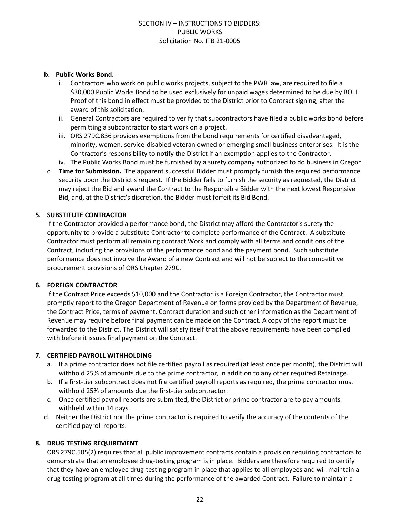#### **b. Public Works Bond.**

- i. Contractors who work on public works projects, subject to the PWR law, are required to file a \$30,000 Public Works Bond to be used exclusively for unpaid wages determined to be due by BOLI. Proof of this bond in effect must be provided to the District prior to Contract signing, after the award of this solicitation.
- ii. General Contractors are required to verify that subcontractors have filed a public works bond before permitting a subcontractor to start work on a project.
- iii. ORS 279C.836 provides exemptions from the bond requirements for certified disadvantaged, minority, women, service-disabled veteran owned or emerging small business enterprises. It is the Contractor's responsibility to notify the District if an exemption applies to the Contractor.
- iv. The Public Works Bond must be furnished by a surety company authorized to do business in Oregon
- c. **Time for Submission.** The apparent successful Bidder must promptly furnish the required performance security upon the District's request. If the Bidder fails to furnish the security as requested, the District may reject the Bid and award the Contract to the Responsible Bidder with the next lowest Responsive Bid, and, at the District's discretion, the Bidder must forfeit its Bid Bond.

#### **5. SUBSTITUTE CONTRACTOR**

If the Contractor provided a performance bond, the District may afford the Contractor's surety the opportunity to provide a substitute Contractor to complete performance of the Contract. A substitute Contractor must perform all remaining contract Work and comply with all terms and conditions of the Contract, including the provisions of the performance bond and the payment bond. Such substitute performance does not involve the Award of a new Contract and will not be subject to the competitive procurement provisions of ORS Chapter 279C.

#### **6. FOREIGN CONTRACTOR**

If the Contract Price exceeds \$10,000 and the Contractor is a Foreign Contractor, the Contractor must promptly report to the Oregon Department of Revenue on forms provided by the Department of Revenue, the Contract Price, terms of payment, Contract duration and such other information as the Department of Revenue may require before final payment can be made on the Contract. A copy of the report must be forwarded to the District. The District will satisfy itself that the above requirements have been complied with before it issues final payment on the Contract.

#### **7. CERTIFIED PAYROLL WITHHOLDING**

- a. If a prime contractor does not file certified payroll as required (at least once per month), the District will withhold 25% of amounts due to the prime contractor, in addition to any other required Retainage.
- b. If a first-tier subcontract does not file certified payroll reports as required, the prime contractor must withhold 25% of amounts due the first-tier subcontractor.
- c. Once certified payroll reports are submitted, the District or prime contractor are to pay amounts withheld within 14 days.
- d. Neither the District nor the prime contractor is required to verify the accuracy of the contents of the certified payroll reports.

#### **8. DRUG TESTING REQUIREMENT**

ORS 279C.505(2) requires that all public improvement contracts contain a provision requiring contractors to demonstrate that an employee drug-testing program is in place. Bidders are therefore required to certify that they have an employee drug-testing program in place that applies to all employees and will maintain a drug-testing program at all times during the performance of the awarded Contract. Failure to maintain a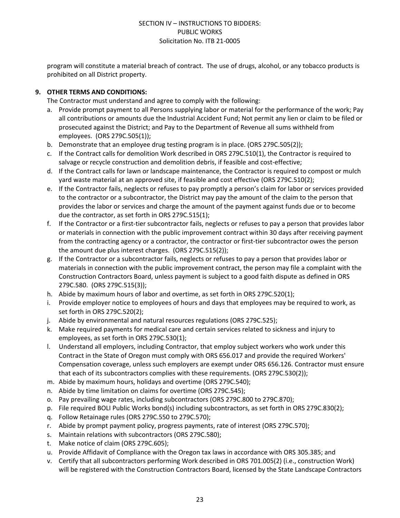program will constitute a material breach of contract. The use of drugs, alcohol, or any tobacco products is prohibited on all District property.

#### **9. OTHER TERMS AND CONDITIONS:**

The Contractor must understand and agree to comply with the following:

- a. Provide prompt payment to all Persons supplying labor or material for the performance of the work; Pay all contributions or amounts due the Industrial Accident Fund; Not permit any lien or claim to be filed or prosecuted against the District; and Pay to the Department of Revenue all sums withheld from employees. (ORS 279C.505(1));
- b. Demonstrate that an employee drug testing program is in place. (ORS 279C.505(2));
- c. If the Contract calls for demolition Work described in ORS 279C.510(1), the Contractor is required to salvage or recycle construction and demolition debris, if feasible and cost-effective;
- d. If the Contract calls for lawn or landscape maintenance, the Contractor is required to compost or mulch yard waste material at an approved site, if feasible and cost effective (ORS 279C.510(2);
- e. If the Contractor fails, neglects or refuses to pay promptly a person's claim for labor or services provided to the contractor or a subcontractor, the District may pay the amount of the claim to the person that provides the labor or services and charge the amount of the payment against funds due or to become due the contractor, as set forth in ORS 279C.515(1);
- f. If the Contractor or a first-tier subcontractor fails, neglects or refuses to pay a person that provides labor or materials in connection with the public improvement contract within 30 days after receiving payment from the contracting agency or a contractor, the contractor or first-tier subcontractor owes the person the amount due plus interest charges. (ORS 279C.515(2));
- g. If the Contractor or a subcontractor fails, neglects or refuses to pay a person that provides labor or materials in connection with the public improvement contract, the person may file a complaint with the Construction Contractors Board, unless payment is subject to a good faith dispute as defined in ORS 279C.580. (ORS 279C.515(3));
- h. Abide by maximum hours of labor and overtime, as set forth in ORS 279C.520(1);
- i. Provide employer notice to employees of hours and days that employees may be required to work, as set forth in ORS 279C.520(2);
- j. Abide by environmental and natural resources regulations (ORS 279C.525);
- k. Make required payments for medical care and certain services related to sickness and injury to employees, as set forth in ORS 279C.530(1);
- l. Understand all employers, including Contractor, that employ subject workers who work under this Contract in the State of Oregon must comply with ORS 656.017 and provide the required Workers' Compensation coverage, unless such employers are exempt under ORS 656.126. Contractor must ensure that each of its subcontractors complies with these requirements. (ORS 279C.530(2));
- m. Abide by maximum hours, holidays and overtime (ORS 279C.540);
- n. Abide by time limitation on claims for overtime (ORS 279C.545);
- o. Pay prevailing wage rates, including subcontractors (ORS 279C.800 to 279C.870);
- p. File required BOLI Public Works bond(s) including subcontractors, as set forth in ORS 279C.830(2);
- q. Follow Retainage rules (ORS 279C.550 to 279C.570);
- r. Abide by prompt payment policy, progress payments, rate of interest (ORS 279C.570);
- s. Maintain relations with subcontractors (ORS 279C.580);
- t. Make notice of claim (ORS 279C.605);
- u. Provide Affidavit of Compliance with the Oregon tax laws in accordance with ORS 305.385; and
- v. Certify that all subcontractors performing Work described in ORS 701.005(2) (i.e., construction Work) will be registered with the Construction Contractors Board, licensed by the State Landscape Contractors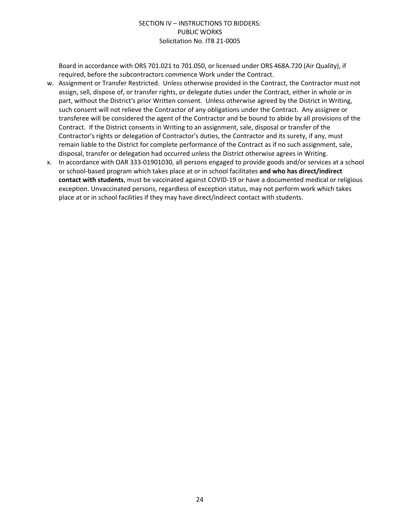Board in accordance with ORS 701.021 to 701.050, or licensed under ORS 468A.720 (Air Quality), if required, before the subcontractors commence Work under the Contract.

- w. Assignment or Transfer Restricted. Unless otherwise provided in the Contract, the Contractor must not assign, sell, dispose of, or transfer rights, or delegate duties under the Contract, either in whole or in part, without the District's prior Written consent. Unless otherwise agreed by the District in Writing, such consent will not relieve the Contractor of any obligations under the Contract. Any assignee or transferee will be considered the agent of the Contractor and be bound to abide by all provisions of the Contract. If the District consents in Writing to an assignment, sale, disposal or transfer of the Contractor's rights or delegation of Contractor's duties, the Contractor and its surety, if any, must remain liable to the District for complete performance of the Contract as if no such assignment, sale, disposal, transfer or delegation had occurred unless the District otherwise agrees in Writing.
- x. In accordance with OAR 333-01901030, all persons engaged to provide goods and/or services at a school or school-based program which takes place at or in school facilitates **and who has direct/indirect contact with students**, must be vaccinated against COVID-19 or have a documented medical or religious exception. Unvaccinated persons, regardless of exception status, may not perform work which takes place at or in school facilities if they may have direct/indirect contact with students.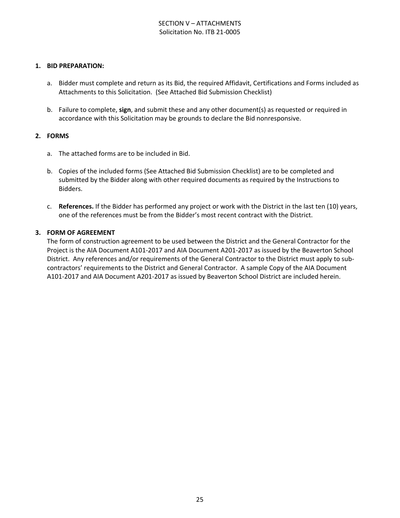#### SECTION V – ATTACHMENTS Solicitation No. ITB 21-0005

#### **1. BID PREPARATION:**

- a. Bidder must complete and return as its Bid, the required Affidavit, Certifications and Forms included as Attachments to this Solicitation. (See Attached Bid Submission Checklist)
- b. Failure to complete, **sign**, and submit these and any other document(s) as requested or required in accordance with this Solicitation may be grounds to declare the Bid nonresponsive.

#### **2. FORMS**

- a. The attached forms are to be included in Bid.
- b. Copies of the included forms (See Attached Bid Submission Checklist) are to be completed and submitted by the Bidder along with other required documents as required by the Instructions to Bidders.
- c. **References.** If the Bidder has performed any project or work with the District in the last ten (10) years, one of the references must be from the Bidder's most recent contract with the District.

#### **3. FORM OF AGREEMENT**

The form of construction agreement to be used between the District and the General Contractor for the Project is the AIA Document A101-2017 and AIA Document A201-2017 as issued by the Beaverton School District. Any references and/or requirements of the General Contractor to the District must apply to subcontractors' requirements to the District and General Contractor. A sample Copy of the AIA Document A101-2017 and AIA Document A201-2017 as issued by Beaverton School District are included herein.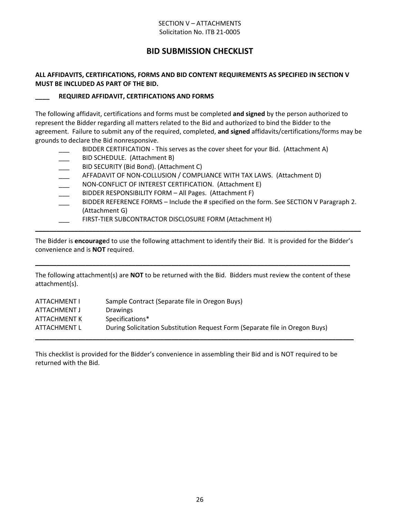#### SECTION V – ATTACHMENTS Solicitation No. ITB 21-0005

# **BID SUBMISSION CHECKLIST**

#### **ALL AFFIDAVITS, CERTIFICATIONS, FORMS AND BID CONTENT REQUIREMENTS AS SPECIFIED IN SECTION V MUST BE INCLUDED AS PART OF THE BID.**

#### **\_\_\_\_ REQUIRED AFFIDAVIT, CERTIFICATIONS AND FORMS**

The following affidavit, certifications and forms must be completed **and signed** by the person authorized to represent the Bidder regarding all matters related to the Bid and authorized to bind the Bidder to the agreement. Failure to submit any of the required, completed, **and signed** affidavits/certifications/forms may be grounds to declare the Bid nonresponsive.

- BIDDER CERTIFICATION This serves as the cover sheet for your Bid. (Attachment A)
- BID SCHEDULE. (Attachment B)
- BID SECURITY (Bid Bond). (Attachment C)
- AFFADAVIT OF NON-COLLUSION / COMPLIANCE WITH TAX LAWS. (Attachment D)
- NON-CONFLICT OF INTEREST CERTIFICATION. (Attachment E)
- BIDDER RESPONSIBILITY FORM All Pages. (Attachment F)
- BIDDER REFERENCE FORMS Include the # specified on the form. See SECTION V Paragraph 2. (Attachment G)
- FIRST-TIER SUBCONTRACTOR DISCLOSURE FORM (Attachment H)

The Bidder is **encourage**d to use the following attachment to identify their Bid. It is provided for the Bidder's convenience and is **NOT** required.

**\_\_\_\_\_\_\_\_\_\_\_\_\_\_\_\_\_\_\_\_\_\_\_\_\_\_\_\_\_\_\_\_\_\_\_\_\_\_\_\_\_\_\_\_\_\_\_\_\_\_\_\_\_\_\_\_\_\_\_\_\_\_\_\_\_\_\_\_\_\_\_\_\_\_\_\_\_\_\_\_\_\_\_\_\_\_\_\_\_\_\_**

The following attachment(s) are **NOT** to be returned with the Bid. Bidders must review the content of these attachment(s).

**\_\_\_\_\_\_\_\_\_\_\_\_\_\_\_\_\_\_\_\_\_\_\_\_\_\_\_\_\_\_\_\_\_\_\_\_\_\_\_\_\_\_\_\_\_\_\_\_\_\_\_\_\_\_\_\_\_\_\_\_\_\_\_\_\_\_\_\_\_\_\_\_\_\_\_\_\_\_\_\_\_\_\_\_\_\_\_\_**

| <b>ATTACHMENT I</b> | Sample Contract (Separate file in Oregon Buys)                               |
|---------------------|------------------------------------------------------------------------------|
| ATTACHMENT J        | Drawings                                                                     |
| ATTACHMENT K        | Specifications*                                                              |
| ATTACHMENT L        | During Solicitation Substitution Request Form (Separate file in Oregon Buys) |
|                     |                                                                              |

This checklist is provided for the Bidder's convenience in assembling their Bid and is NOT required to be returned with the Bid.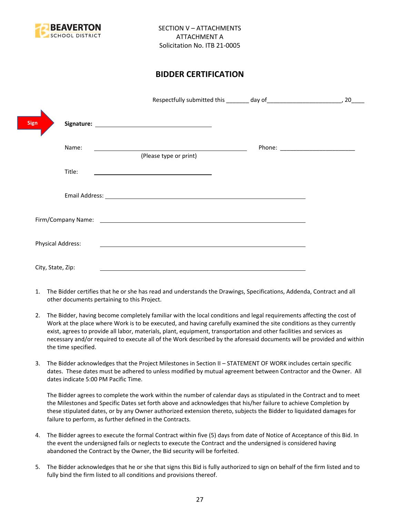

# **BIDDER CERTIFICATION**

| <b>Sign</b>       |                                                                                                                                                                                                                                |                                      |
|-------------------|--------------------------------------------------------------------------------------------------------------------------------------------------------------------------------------------------------------------------------|--------------------------------------|
| Name:             | <u> 1989 - Johann Stoff, deutscher Stoffen und der Stoffen und der Stoffen und der Stoffen und der Stoffen und der</u><br>(Please type or print)                                                                               | Phone: _____________________________ |
| Title:            |                                                                                                                                                                                                                                |                                      |
|                   |                                                                                                                                                                                                                                |                                      |
|                   | Firm/Company Name: The company of the company of the company of the company of the company of the company of the company of the company of the company of the company of the company of the company of the company of the comp |                                      |
| Physical Address: |                                                                                                                                                                                                                                |                                      |
| City, State, Zip: |                                                                                                                                                                                                                                |                                      |

- 1. The Bidder certifies that he or she has read and understands the Drawings, Specifications, Addenda, Contract and all other documents pertaining to this Project.
- 2. The Bidder, having become completely familiar with the local conditions and legal requirements affecting the cost of Work at the place where Work is to be executed, and having carefully examined the site conditions as they currently exist, agrees to provide all labor, materials, plant, equipment, transportation and other facilities and services as necessary and/or required to execute all of the Work described by the aforesaid documents will be provided and within the time specified.
- 3. The Bidder acknowledges that the Project Milestones in Section II STATEMENT OF WORK includes certain specific dates. These dates must be adhered to unless modified by mutual agreement between Contractor and the Owner. All dates indicate 5:00 PM Pacific Time.

The Bidder agrees to complete the work within the number of calendar days as stipulated in the Contract and to meet the Milestones and Specific Dates set forth above and acknowledges that his/her failure to achieve Completion by these stipulated dates, or by any Owner authorized extension thereto, subjects the Bidder to liquidated damages for failure to perform, as further defined in the Contracts.

- 4. The Bidder agrees to execute the formal Contract within five (5) days from date of Notice of Acceptance of this Bid. In the event the undersigned fails or neglects to execute the Contract and the undersigned is considered having abandoned the Contract by the Owner, the Bid security will be forfeited.
- 5. The Bidder acknowledges that he or she that signs this Bid is fully authorized to sign on behalf of the firm listed and to fully bind the firm listed to all conditions and provisions thereof.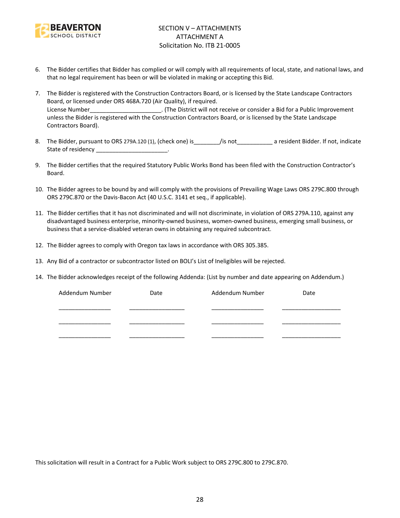

- 6. The Bidder certifies that Bidder has complied or will comply with all requirements of local, state, and national laws, and that no legal requirement has been or will be violated in making or accepting this Bid.
- 7. The Bidder is registered with the Construction Contractors Board, or is licensed by the State Landscape Contractors Board, or licensed under ORS 468A.720 (Air Quality), if required. License Number\_\_\_\_\_\_\_\_\_\_\_\_\_\_\_\_\_\_\_\_\_\_\_\_. (The District will not receive or consider a Bid for a Public Improvement unless the Bidder is registered with the Construction Contractors Board, or is licensed by the State Landscape Contractors Board).
- 8. The Bidder, pursuant to ORS 279A.120 (1), (check one) is figure is figure to a resident Bidder. If not, indicate State of residency \_\_\_\_\_\_\_\_\_\_\_\_\_\_\_\_\_\_\_\_\_\_\_\_.
- 9. The Bidder certifies that the required Statutory Public Works Bond has been filed with the Construction Contractor's Board.
- 10. The Bidder agrees to be bound by and will comply with the provisions of Prevailing Wage Laws ORS 279C.800 through ORS 279C.870 or the Davis-Bacon Act (40 U.S.C. 3141 et seq., if applicable).
- 11. The Bidder certifies that it has not discriminated and will not discriminate, in violation of ORS 279A.110, against any disadvantaged business enterprise, minority-owned business, women-owned business, emerging small business, or business that a service-disabled veteran owns in obtaining any required subcontract.
- 12. The Bidder agrees to comply with Oregon tax laws in accordance with ORS 305.385.
- 13. Any Bid of a contractor or subcontractor listed on BOLI's List of Ineligibles will be rejected.
- 14. The Bidder acknowledges receipt of the following Addenda: (List by number and date appearing on Addendum.)

| Addendum Number | Date | Addendum Number | Date |
|-----------------|------|-----------------|------|
|                 |      |                 |      |
|                 |      |                 |      |
|                 |      |                 |      |
|                 |      |                 |      |
|                 |      |                 |      |

This solicitation will result in a Contract for a Public Work subject to ORS 279C.800 to 279C.870.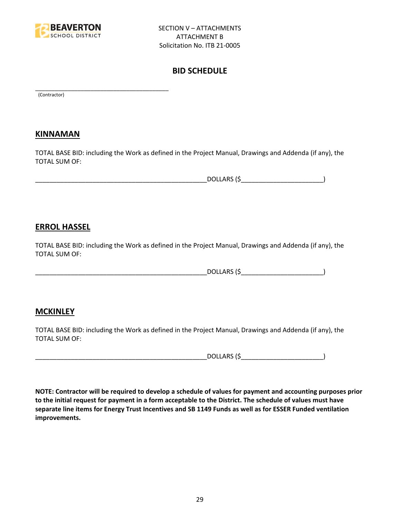

\_\_\_\_\_\_\_\_\_\_\_\_\_\_\_\_\_\_\_\_\_\_\_\_\_\_\_\_\_\_\_\_\_\_\_\_\_\_\_\_\_

# **BID SCHEDULE**

(Contractor)

## **KINNAMAN**

TOTAL BASE BID: including the Work as defined in the Project Manual, Drawings and Addenda (if any), the TOTAL SUM OF:

| DOLLARS (<br>.      |
|---------------------|
| <b>DULLAIN</b><br>. |

## **ERROL HASSEL**

TOTAL BASE BID: including the Work as defined in the Project Manual, Drawings and Addenda (if any), the TOTAL SUM OF:

\_\_\_\_\_\_\_\_\_\_\_\_\_\_\_\_\_\_\_\_\_\_\_\_\_\_\_\_\_\_\_\_\_\_\_\_\_\_\_\_\_\_\_\_\_\_\_\_DOLLARS (\$\_\_\_\_\_\_\_\_\_\_\_\_\_\_\_\_\_\_\_\_\_\_\_)

## **MCKINLEY**

TOTAL BASE BID: including the Work as defined in the Project Manual, Drawings and Addenda (if any), the TOTAL SUM OF:

 $DOLLARS (\xi$ 

**NOTE: Contractor will be required to develop a schedule of values for payment and accounting purposes prior to the initial request for payment in a form acceptable to the District. The schedule of values must have separate line items for Energy Trust Incentives and SB 1149 Funds as well as for ESSER Funded ventilation improvements.**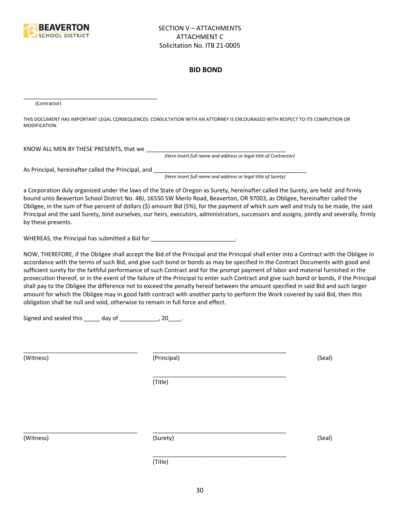

#### **BID BOND**

(Contractor)

THIS DOCUMENT HAS IMPORTANT LEGAL CONSEQUENCES: CONSULTATION WITH AN ATTORNEY IS ENCOURAGED WITH RESPECT TO ITS COMPLETION OR MODIFICATION.

KNOW ALL MEN BY THESE PRESENTS, that we \_\_\_\_\_\_\_\_\_\_\_\_\_\_\_\_\_\_\_\_\_\_\_\_\_\_\_\_\_\_\_\_\_\_\_\_\_\_\_\_\_\_\_

*(Here insert full name and address or legal title of Contractor)*

As Principal, hereinafter called the Principal, and \_\_\_\_\_\_\_\_\_\_\_\_\_\_\_\_\_\_\_\_\_\_\_\_\_\_\_\_

\_\_\_\_\_\_\_\_\_\_\_\_\_\_\_\_\_\_\_\_\_\_\_\_\_\_\_\_\_\_\_\_\_\_\_\_\_\_\_\_\_

*(Here insert full name and address or legal title of Surety)*

a Corporation duly organized under the laws of the State of Oregon as Surety, hereinafter called the Surety, are held and firmly bound unto Beaverton School District No. 48J, 16550 SW Merlo Road, Beaverton, OR 97003, as Obligee, hereinafter called the Obligee, in the sum of five percent of dollars (\$) amount Bid (5%), for the payment of which sum well and truly to be made, the said Principal and the said Surety, bind ourselves, our heirs, executors, administrators, successors and assigns, jointly and severally, firmly by these presents.

WHEREAS, the Principal has submitted a Bid for \_\_\_\_\_\_\_\_\_\_\_\_\_\_\_\_\_\_\_\_\_\_\_\_\_\_\_\_\_.

NOW, THEREFORE, if the Obligee shall accept the Bid of the Principal and the Principal shall enter into a Contract with the Obligee in accordance with the terms of such Bid, and give such bond or bonds as may be specified in the Contract Documents with good and sufficient surety for the faithful performance of such Contract and for the prompt payment of labor and material furnished in the prosecution thereof, or in the event of the failure of the Principal to enter such Contract and give such bond or bonds, if the Principal shall pay to the Obligee the difference not to exceed the penalty hereof between the amount specified in said Bid and such larger amount for which the Obligee may in good faith contract with another party to perform the Work covered by said Bid, then this obligation shall be null and void, otherwise to remain in full force and effect.

\_\_\_\_\_\_\_\_\_\_\_\_\_\_\_\_\_\_\_\_\_\_\_\_\_\_\_\_\_\_\_\_\_\_\_\_\_\_\_\_\_

\_\_\_\_\_\_\_\_\_\_\_\_\_\_\_\_\_\_\_\_\_\_\_\_\_\_\_\_\_\_\_\_\_\_\_\_\_\_\_\_\_

Signed and sealed this \_\_\_\_\_ day of \_\_\_\_\_\_\_\_\_\_\_\_, 20\_\_\_\_.

(Witness) (Principal) (Seal)

(Title)

\_\_\_\_\_\_\_\_\_\_\_\_\_\_\_\_\_\_\_\_\_\_\_\_\_\_\_\_\_\_\_\_\_\_\_ \_\_\_\_\_\_\_\_\_\_\_\_\_\_\_\_\_\_\_\_\_\_\_\_\_\_\_\_\_\_\_\_\_\_\_\_\_\_\_\_\_

(Witness) (Surety) (Seal)

\_\_\_\_\_\_\_\_\_\_\_\_\_\_\_\_\_\_\_\_\_\_\_\_\_\_\_\_\_\_\_\_\_\_\_ \_\_\_\_\_\_\_\_\_\_\_\_\_\_\_\_\_\_\_\_\_\_\_\_\_\_\_\_\_\_\_\_\_\_\_\_\_\_\_\_\_

(Title)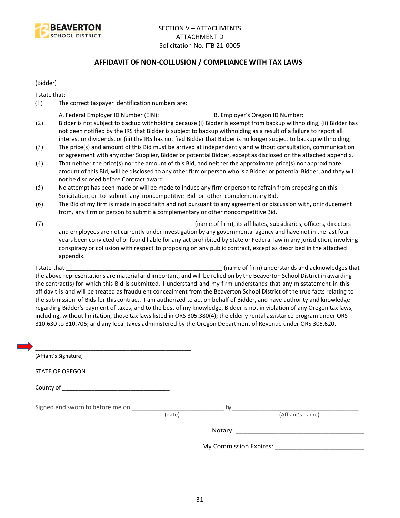

#### **AFFIDAVIT OF NON-COLLUSION / COMPLIANCE WITH TAX LAWS**

(Bidder)

I state that:

(1) The correct taxpayer identification numbers are:

\_\_\_\_\_\_\_\_\_\_\_\_\_\_\_\_\_\_\_\_\_\_\_\_\_\_\_\_\_\_\_\_\_\_\_\_\_\_

- A. Federal Employer ID Number (EIN): \_\_\_\_\_\_\_\_\_\_\_\_\_\_\_\_ B. Employer's Oregon ID Number: \_\_\_\_\_\_\_\_\_\_\_\_\_\_\_\_
- (2) Bidder is not subject to backup withholding because (i) Bidder is exempt from backup withholding, (ii) Bidder has not been notified by the IRS that Bidder is subject to backup withholding as a result of a failure to report all interest or dividends, or (iii) the IRS has notified Bidder that Bidder is no longer subject to backup withholding;
- (3) The price(s) and amount of this Bid must be arrived at independently and without consultation, communication or agreement with any other Supplier, Bidder or potential Bidder, except as disclosed on the attached appendix.
- (4) That neither the price(s) nor the amount of this Bid, and neither the approximate price(s) nor approximate amount of this Bid, will be disclosed to any other firm or person who is a Bidder or potential Bidder, and they will not be disclosed before Contract award.
- (5) No attempt has been made or will be made to induce any firm or person to refrain from proposing on this Solicitation, or to submit any noncompetitive Bid or other complementary Bid.
- (6) The Bid of my firm is made in good faith and not pursuant to any agreement or discussion with, or inducement from, any firm or person to submit a complementary or other noncompetitive Bid.
- (7) \_\_\_\_\_\_\_\_\_\_\_\_\_\_\_\_\_\_\_\_\_\_\_\_\_\_\_\_\_\_\_\_\_\_\_\_\_\_\_\_\_ (name of firm), its affiliates, subsidiaries, officers, directors and employees are not currently under investigation by any governmental agency and have not in the last four years been convicted of or found liable for any act prohibited by State or Federal law in any jurisdiction, involving conspiracy or collusion with respect to proposing on any public contract, except as described in the attached appendix.

I state that **I state that**  $\blacksquare$  (name of firm) understands and acknowledges that the above representations are material and important, and will be relied on by the Beaverton School District in awarding the contract(s) for which this Bid is submitted. I understand and my firm understands that any misstatement in this affidavit is and will be treated as fraudulent concealment from the Beaverton School District of the true facts relating to the submission of Bids for this contract. I am authorized to act on behalf of Bidder, and have authority and knowledge regarding Bidder's payment of taxes, and to the best of my knowledge, Bidder is not in violation of any Oregon tax laws, including, without limitation, those tax laws listed in ORS 305.380(4); the elderly rental assistance program under ORS 310.630 to 310.706; and any local taxes administered by the Oregon Department of Revenue under ORS 305.620.

| (Affiant's Signature)                                                                                                                                                                                                          |        |                  |
|--------------------------------------------------------------------------------------------------------------------------------------------------------------------------------------------------------------------------------|--------|------------------|
| <b>STATE OF OREGON</b>                                                                                                                                                                                                         |        |                  |
|                                                                                                                                                                                                                                |        |                  |
| Signed and sworn to before me on which is a state of the by state of the by the state of the state of the state of the state of the state of the state of the state of the state of the state of the state of the state of the | (date) | (Affiant's name) |
|                                                                                                                                                                                                                                |        |                  |
|                                                                                                                                                                                                                                |        |                  |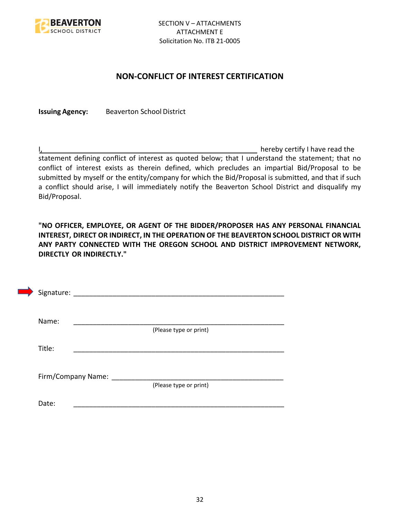

### **NON-CONFLICT OF INTEREST CERTIFICATION**

**Issuing Agency:** Beaverton School District

I, the contract of the contract of the contract of the contract of the hereby certify I have read the statement defining conflict of interest as quoted below; that I understand the statement; that no conflict of interest exists as therein defined, which precludes an impartial Bid/Proposal to be submitted by myself or the entity/company for which the Bid/Proposal is submitted, and that if such a conflict should arise, I will immediately notify the Beaverton School District and disqualify my Bid/Proposal.

**"NO OFFICER, EMPLOYEE, OR AGENT OF THE BIDDER/PROPOSER HAS ANY PERSONAL FINANCIAL INTEREST, DIRECT OR INDIRECT, IN THE OPERATION OF THE BEAVERTON SCHOOL DISTRICT OR WITH ANY PARTY CONNECTED WITH THE OREGON SCHOOL AND DISTRICT IMPROVEMENT NETWORK, DIRECTLY OR INDIRECTLY."**

| Signature: |                      |                        |  |  |
|------------|----------------------|------------------------|--|--|
| Name:      |                      |                        |  |  |
|            |                      | (Please type or print) |  |  |
| Title:     |                      |                        |  |  |
|            |                      |                        |  |  |
|            | Firm/Company Name: _ |                        |  |  |
|            |                      | (Please type or print) |  |  |
| Date:      |                      |                        |  |  |
|            |                      |                        |  |  |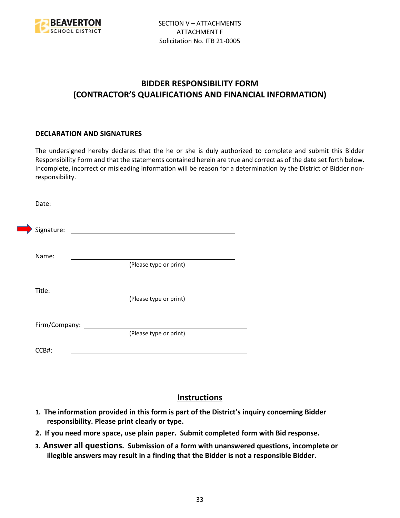

# **BIDDER RESPONSIBILITY FORM (CONTRACTOR'S QUALIFICATIONS AND FINANCIAL INFORMATION)**

#### **DECLARATION AND SIGNATURES**

The undersigned hereby declares that the he or she is duly authorized to complete and submit this Bidder Responsibility Form and that the statements contained herein are true and correct as of the date set forth below. Incomplete, incorrect or misleading information will be reason for a determination by the District of Bidder nonresponsibility.

| Date:      |                      |                                                                                                                      |  |
|------------|----------------------|----------------------------------------------------------------------------------------------------------------------|--|
| Signature: |                      | <u> 1980 - Jan Stein Stein Stein Stein Stein Stein Stein Stein Stein Stein Stein Stein Stein Stein Stein Stein S</u> |  |
| Name:      |                      | (Please type or print)                                                                                               |  |
| Title:     |                      |                                                                                                                      |  |
|            |                      | (Please type or print)                                                                                               |  |
|            | Firm/Company: ______ | (Please type or print)                                                                                               |  |
| CCB#:      |                      |                                                                                                                      |  |

# **Instructions**

- **1. The information provided in this form is part of the District's inquiry concerning Bidder responsibility. Please print clearly or type.**
- **2. If you need more space, use plain paper. Submit completed form with Bid response.**
- **3. Answer all questions. Submission of a form with unanswered questions, incomplete or illegible answers may result in a finding that the Bidder is not a responsible Bidder.**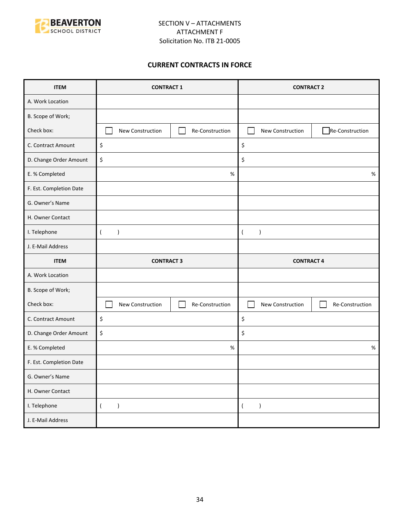

#### **CURRENT CONTRACTS IN FORCE**

| <b>ITEM</b>             | <b>CONTRACT 1</b>                   |      | <b>CONTRACT 2</b>             |                 |
|-------------------------|-------------------------------------|------|-------------------------------|-----------------|
| A. Work Location        |                                     |      |                               |                 |
| B. Scope of Work;       |                                     |      |                               |                 |
| Check box:              | New Construction<br>Re-Construction |      | New Construction              | Re-Construction |
| C. Contract Amount      | \$                                  |      | \$                            |                 |
| D. Change Order Amount  | \$                                  |      | \$                            |                 |
| E. % Completed          |                                     | $\%$ |                               | $\%$            |
| F. Est. Completion Date |                                     |      |                               |                 |
| G. Owner's Name         |                                     |      |                               |                 |
| H. Owner Contact        |                                     |      |                               |                 |
| I. Telephone            | $\overline{(}$<br>$\mathcal{E}$     |      | $\lambda$<br>$\left($         |                 |
| J. E-Mail Address       |                                     |      |                               |                 |
|                         | <b>CONTRACT 3</b>                   |      |                               |                 |
| <b>ITEM</b>             |                                     |      | <b>CONTRACT 4</b>             |                 |
| A. Work Location        |                                     |      |                               |                 |
| B. Scope of Work;       |                                     |      |                               |                 |
| Check box:              | New Construction<br>Re-Construction |      | New Construction              | Re-Construction |
| C. Contract Amount      | \$                                  |      | \$                            |                 |
| D. Change Order Amount  | \$                                  |      | \$                            |                 |
| E. % Completed          |                                     | $\%$ |                               | $\%$            |
| F. Est. Completion Date |                                     |      |                               |                 |
| G. Owner's Name         |                                     |      |                               |                 |
| H. Owner Contact        |                                     |      |                               |                 |
| I. Telephone            | $\overline{(\ }$<br>$\lambda$       |      | $\lambda$<br>$\overline{(\ }$ |                 |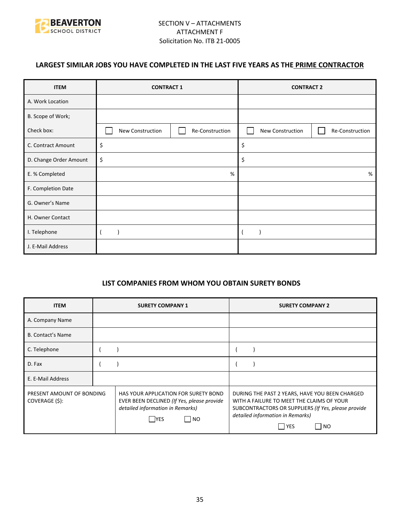

## **LARGEST SIMILAR JOBS YOU HAVE COMPLETED IN THE LAST FIVE YEARS AS THE PRIME CONTRACTOR**

| <b>ITEM</b>            | <b>CONTRACT 1</b> |                 | <b>CONTRACT 2</b> |                 |
|------------------------|-------------------|-----------------|-------------------|-----------------|
| A. Work Location       |                   |                 |                   |                 |
| B. Scope of Work;      |                   |                 |                   |                 |
| Check box:             | New Construction  | Re-Construction | New Construction  | Re-Construction |
| C. Contract Amount     | \$                |                 | \$                |                 |
| D. Change Order Amount | \$                |                 | \$                |                 |
| E. % Completed         | %                 |                 |                   | %               |
| F. Completion Date     |                   |                 |                   |                 |
| G. Owner's Name        |                   |                 |                   |                 |
| H. Owner Contact       |                   |                 |                   |                 |
| I. Telephone           |                   |                 |                   |                 |
| J. E-Mail Address      |                   |                 |                   |                 |

#### **LIST COMPANIES FROM WHOM YOU OBTAIN SURETY BONDS**

| <b>ITEM</b>                                 | <b>SURETY COMPANY 1</b>                                                                                                                            | <b>SURETY COMPANY 2</b>                                                                                                                                                                                           |
|---------------------------------------------|----------------------------------------------------------------------------------------------------------------------------------------------------|-------------------------------------------------------------------------------------------------------------------------------------------------------------------------------------------------------------------|
| A. Company Name                             |                                                                                                                                                    |                                                                                                                                                                                                                   |
| <b>B. Contact's Name</b>                    |                                                                                                                                                    |                                                                                                                                                                                                                   |
| C. Telephone                                |                                                                                                                                                    |                                                                                                                                                                                                                   |
| D. Fax                                      |                                                                                                                                                    |                                                                                                                                                                                                                   |
| E. E-Mail Address                           |                                                                                                                                                    |                                                                                                                                                                                                                   |
| PRESENT AMOUNT OF BONDING<br>COVERAGE (\$): | HAS YOUR APPLICATION FOR SURETY BOND<br>EVER BEEN DECLINED (If Yes, please provide<br>detailed information in Remarks)<br>$\Box$ No<br><b>IYES</b> | DURING THE PAST 2 YEARS, HAVE YOU BEEN CHARGED<br>WITH A FAILURE TO MEET THE CLAIMS OF YOUR<br>SUBCONTRACTORS OR SUPPLIERS (If Yes, please provide<br>detailed information in Remarks)<br><b>YES</b><br><b>NO</b> |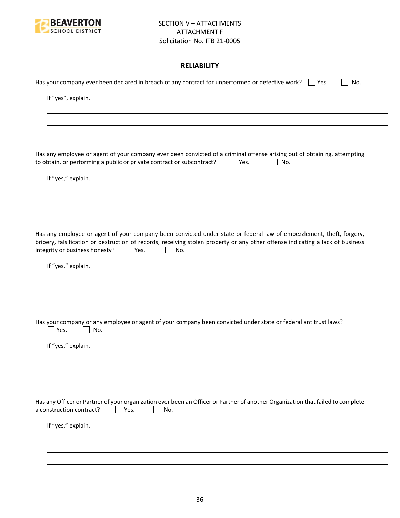

### **RELIABILITY**

| Has your company ever been declared in breach of any contract for unperformed or defective work? $\Box$ Yes.<br>No.                                                                                                                                                                                           |
|---------------------------------------------------------------------------------------------------------------------------------------------------------------------------------------------------------------------------------------------------------------------------------------------------------------|
| If "yes", explain.                                                                                                                                                                                                                                                                                            |
|                                                                                                                                                                                                                                                                                                               |
|                                                                                                                                                                                                                                                                                                               |
| Has any employee or agent of your company ever been convicted of a criminal offense arising out of obtaining, attempting<br>to obtain, or performing a public or private contract or subcontract?<br>Yes.<br>No.                                                                                              |
| If "yes," explain.                                                                                                                                                                                                                                                                                            |
|                                                                                                                                                                                                                                                                                                               |
|                                                                                                                                                                                                                                                                                                               |
| Has any employee or agent of your company been convicted under state or federal law of embezzlement, theft, forgery,<br>bribery, falsification or destruction of records, receiving stolen property or any other offense indicating a lack of business<br>integrity or business honesty?<br>$ $   Yes.<br>No. |
| If "yes," explain.                                                                                                                                                                                                                                                                                            |
|                                                                                                                                                                                                                                                                                                               |
|                                                                                                                                                                                                                                                                                                               |
| Has your company or any employee or agent of your company been convicted under state or federal antitrust laws?<br>Yes.<br>No.                                                                                                                                                                                |
| If "yes," explain.                                                                                                                                                                                                                                                                                            |
|                                                                                                                                                                                                                                                                                                               |
|                                                                                                                                                                                                                                                                                                               |
| Has any Officer or Partner of your organization ever been an Officer or Partner of another Organization that failed to complete<br>a construction contract?<br>Yes.<br>No.                                                                                                                                    |
| If "yes," explain.                                                                                                                                                                                                                                                                                            |
|                                                                                                                                                                                                                                                                                                               |
|                                                                                                                                                                                                                                                                                                               |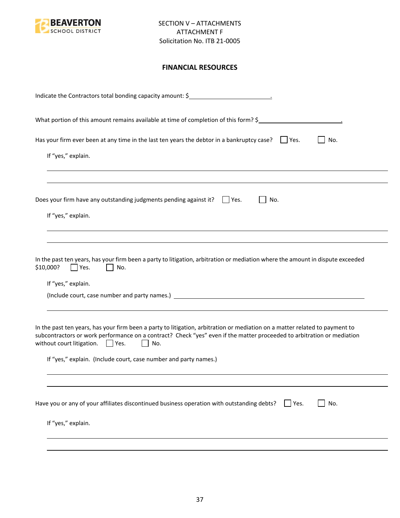

### **FINANCIAL RESOURCES**

| Indicate the Contractors total bonding capacity amount: \$                                                                                                                                                                                                                                                                                                                |
|---------------------------------------------------------------------------------------------------------------------------------------------------------------------------------------------------------------------------------------------------------------------------------------------------------------------------------------------------------------------------|
| What portion of this amount remains available at time of completion of this form? \$                                                                                                                                                                                                                                                                                      |
| Has your firm ever been at any time in the last ten years the debtor in a bankruptcy case? $\Box$ Yes.<br>No.                                                                                                                                                                                                                                                             |
| If "yes," explain.                                                                                                                                                                                                                                                                                                                                                        |
|                                                                                                                                                                                                                                                                                                                                                                           |
| Does your firm have any outstanding judgments pending against it? $\Box$ Yes.<br>No.<br>If "yes," explain.                                                                                                                                                                                                                                                                |
| In the past ten years, has your firm been a party to litigation, arbitration or mediation where the amount in dispute exceeded<br>\$10,000?<br>Yes.<br>No.<br>If "yes," explain.                                                                                                                                                                                          |
| In the past ten years, has your firm been a party to litigation, arbitration or mediation on a matter related to payment to<br>subcontractors or work performance on a contract? Check "yes" even if the matter proceeded to arbitration or mediation<br>without court litigation. $\Box$ Yes.<br>No.<br>If "yes," explain. (Include court, case number and party names.) |
|                                                                                                                                                                                                                                                                                                                                                                           |
| Have you or any of your affiliates discontinued business operation with outstanding debts?<br>No.<br>Yes.                                                                                                                                                                                                                                                                 |
| If "yes," explain.                                                                                                                                                                                                                                                                                                                                                        |
|                                                                                                                                                                                                                                                                                                                                                                           |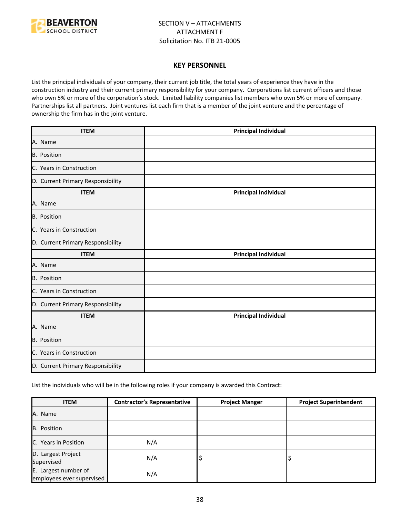

#### **KEY PERSONNEL**

List the principal individuals of your company, their current job title, the total years of experience they have in the construction industry and their current primary responsibility for your company. Corporations list current officers and those who own 5% or more of the corporation's stock. Limited liability companies list members who own 5% or more of company. Partnerships list all partners. Joint ventures list each firm that is a member of the joint venture and the percentage of ownership the firm has in the joint venture.

| <b>ITEM</b>                       | <b>Principal Individual</b> |
|-----------------------------------|-----------------------------|
| A. Name                           |                             |
| B. Position                       |                             |
| C. Years in Construction          |                             |
| D. Current Primary Responsibility |                             |
| <b>ITEM</b>                       | <b>Principal Individual</b> |
| A. Name                           |                             |
| B. Position                       |                             |
| C. Years in Construction          |                             |
| D. Current Primary Responsibility |                             |
| <b>ITEM</b>                       | <b>Principal Individual</b> |
| A. Name                           |                             |
| <b>B.</b> Position                |                             |
| C. Years in Construction          |                             |
| D. Current Primary Responsibility |                             |
| <b>ITEM</b>                       | <b>Principal Individual</b> |
| A. Name                           |                             |
| B. Position                       |                             |
| C. Years in Construction          |                             |
| D. Current Primary Responsibility |                             |

List the individuals who will be in the following roles if your company is awarded this Contract:

| <b>ITEM</b>                                       | <b>Contractor's Representative</b> | <b>Project Manger</b> | <b>Project Superintendent</b> |
|---------------------------------------------------|------------------------------------|-----------------------|-------------------------------|
| A. Name                                           |                                    |                       |                               |
| B. Position                                       |                                    |                       |                               |
| C. Years in Position                              | N/A                                |                       |                               |
| D. Largest Project<br>Supervised                  | N/A                                | ∍                     |                               |
| E. Largest number of<br>employees ever supervised | N/A                                |                       |                               |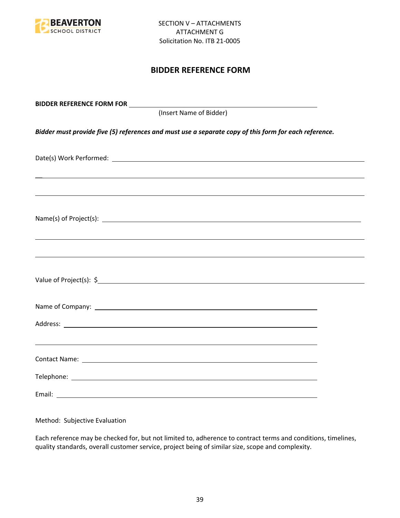

## **BIDDER REFERENCE FORM**

| (Insert Name of Bidder)                                                                               |  |
|-------------------------------------------------------------------------------------------------------|--|
| Bidder must provide five (5) references and must use a separate copy of this form for each reference. |  |
|                                                                                                       |  |
| ,我们也不会有什么。""我们的人,我们也不会有什么?""我们的人,我们也不会有什么?""我们的人,我们也不会有什么?""我们的人,我们也不会有什么?""我们的人                      |  |
|                                                                                                       |  |
| ,我们也不能会有一个人的事情。""我们的人,我们也不能会有一个人的人,我们也不能会有一个人的人,我们也不能会有一个人的人,我们也不能会有一个人的人,我们也不能会                      |  |
|                                                                                                       |  |
|                                                                                                       |  |
|                                                                                                       |  |
|                                                                                                       |  |
|                                                                                                       |  |
|                                                                                                       |  |

Method: Subjective Evaluation

Each reference may be checked for, but not limited to, adherence to contract terms and conditions, timelines, quality standards, overall customer service, project being of similar size, scope and complexity.